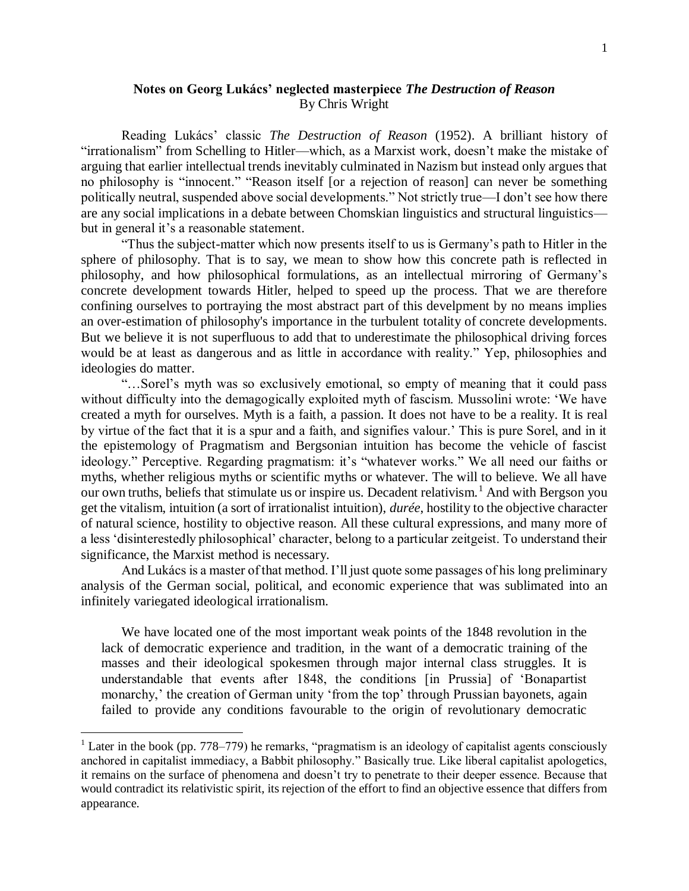## **Notes on Georg Lukács' neglected masterpiece** *The Destruction of Reason* By Chris Wright

Reading Lukács' classic *The Destruction of Reason* (1952). A brilliant history of "irrationalism" from Schelling to Hitler—which, as a Marxist work, doesn't make the mistake of arguing that earlier intellectual trends inevitably culminated in Nazism but instead only argues that no philosophy is "innocent." "Reason itself [or a rejection of reason] can never be something politically neutral, suspended above social developments." Not strictly true—I don't see how there are any social implications in a debate between Chomskian linguistics and structural linguistics but in general it's a reasonable statement.

"Thus the subject-matter which now presents itself to us is Germany's path to Hitler in the sphere of philosophy. That is to say, we mean to show how this concrete path is reflected in philosophy, and how philosophical formulations, as an intellectual mirroring of Germany's concrete development towards Hitler, helped to speed up the process. That we are therefore confining ourselves to portraying the most abstract part of this develpment by no means implies an over-estimation of philosophy's importance in the turbulent totality of concrete developments. But we believe it is not superfluous to add that to underestimate the philosophical driving forces would be at least as dangerous and as little in accordance with reality." Yep, philosophies and ideologies do matter.

"…Sorel's myth was so exclusively emotional, so empty of meaning that it could pass without difficulty into the demagogically exploited myth of fascism. Mussolini wrote: 'We have created a myth for ourselves. Myth is a faith, a passion. It does not have to be a reality. It is real by virtue of the fact that it is a spur and a faith, and signifies valour.' This is pure Sorel, and in it the epistemology of Pragmatism and Bergsonian intuition has become the vehicle of fascist ideology." Perceptive. Regarding pragmatism: it's "whatever works." We all need our faiths or myths, whether religious myths or scientific myths or whatever. The will to believe. We all have our own truths, beliefs that stimulate us or inspire us. Decadent relativism.<sup>1</sup> And with Bergson you get the vitalism, intuition (a sort of irrationalist intuition), *durée*, hostility to the objective character of natural science, hostility to objective reason. All these cultural expressions, and many more of a less 'disinterestedly philosophical' character, belong to a particular zeitgeist. To understand their significance, the Marxist method is necessary.

And Lukács is a master of that method. I'll just quote some passages of his long preliminary analysis of the German social, political, and economic experience that was sublimated into an infinitely variegated ideological irrationalism.

We have located one of the most important weak points of the 1848 revolution in the lack of democratic experience and tradition, in the want of a democratic training of the masses and their ideological spokesmen through major internal class struggles. It is understandable that events after 1848, the conditions [in Prussia] of 'Bonapartist monarchy,' the creation of German unity 'from the top' through Prussian bayonets, again failed to provide any conditions favourable to the origin of revolutionary democratic

 $\overline{a}$ 

<sup>&</sup>lt;sup>1</sup> Later in the book (pp. 778–779) he remarks, "pragmatism is an ideology of capitalist agents consciously anchored in capitalist immediacy, a Babbit philosophy." Basically true. Like liberal capitalist apologetics, it remains on the surface of phenomena and doesn't try to penetrate to their deeper essence. Because that would contradict its relativistic spirit, its rejection of the effort to find an objective essence that differs from appearance.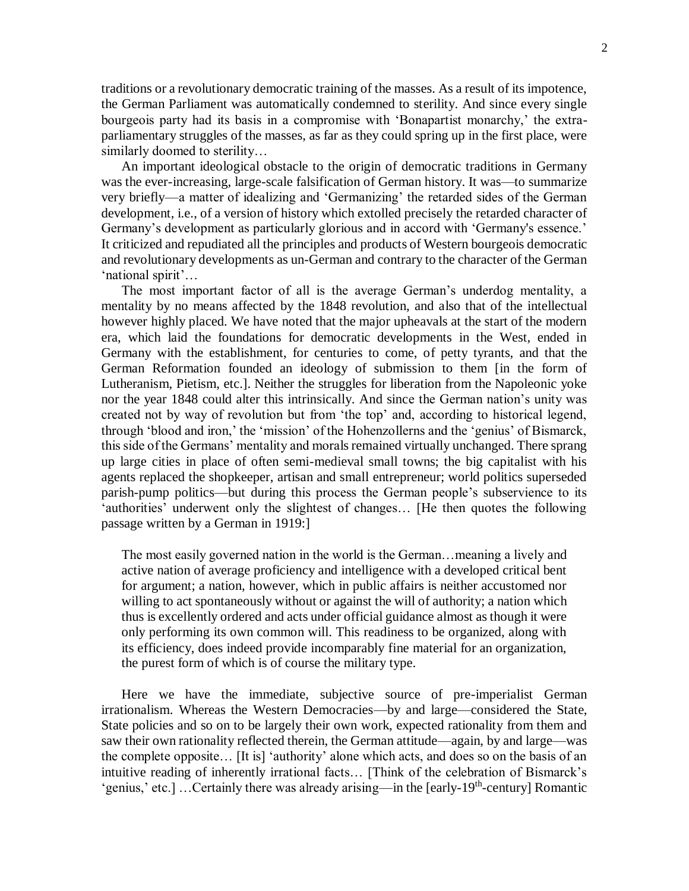traditions or a revolutionary democratic training of the masses. As a result of its impotence, the German Parliament was automatically condemned to sterility. And since every single bourgeois party had its basis in a compromise with 'Bonapartist monarchy,' the extraparliamentary struggles of the masses, as far as they could spring up in the first place, were similarly doomed to sterility…

An important ideological obstacle to the origin of democratic traditions in Germany was the ever-increasing, large-scale falsification of German history. It was—to summarize very briefly—a matter of idealizing and 'Germanizing' the retarded sides of the German development, i.e., of a version of history which extolled precisely the retarded character of Germany's development as particularly glorious and in accord with 'Germany's essence.' It criticized and repudiated all the principles and products of Western bourgeois democratic and revolutionary developments as un-German and contrary to the character of the German 'national spirit'…

The most important factor of all is the average German's underdog mentality, a mentality by no means affected by the 1848 revolution, and also that of the intellectual however highly placed. We have noted that the major upheavals at the start of the modern era, which laid the foundations for democratic developments in the West, ended in Germany with the establishment, for centuries to come, of petty tyrants, and that the German Reformation founded an ideology of submission to them [in the form of Lutheranism, Pietism, etc.]. Neither the struggles for liberation from the Napoleonic yoke nor the year 1848 could alter this intrinsically. And since the German nation's unity was created not by way of revolution but from 'the top' and, according to historical legend, through 'blood and iron,' the 'mission' of the Hohenzollerns and the 'genius' of Bismarck, this side of the Germans' mentality and morals remained virtually unchanged. There sprang up large cities in place of often semi-medieval small towns; the big capitalist with his agents replaced the shopkeeper, artisan and small entrepreneur; world politics superseded parish-pump politics—but during this process the German people's subservience to its 'authorities' underwent only the slightest of changes… [He then quotes the following passage written by a German in 1919:]

The most easily governed nation in the world is the German…meaning a lively and active nation of average proficiency and intelligence with a developed critical bent for argument; a nation, however, which in public affairs is neither accustomed nor willing to act spontaneously without or against the will of authority; a nation which thus is excellently ordered and acts under official guidance almost as though it were only performing its own common will. This readiness to be organized, along with its efficiency, does indeed provide incomparably fine material for an organization, the purest form of which is of course the military type.

Here we have the immediate, subjective source of pre-imperialist German irrationalism. Whereas the Western Democracies—by and large—considered the State, State policies and so on to be largely their own work, expected rationality from them and saw their own rationality reflected therein, the German attitude—again, by and large—was the complete opposite… [It is] 'authority' alone which acts, and does so on the basis of an intuitive reading of inherently irrational facts… [Think of the celebration of Bismarck's 'genius,' etc.] ...Certainly there was already arising—in the [early-19<sup>th</sup>-century] Romantic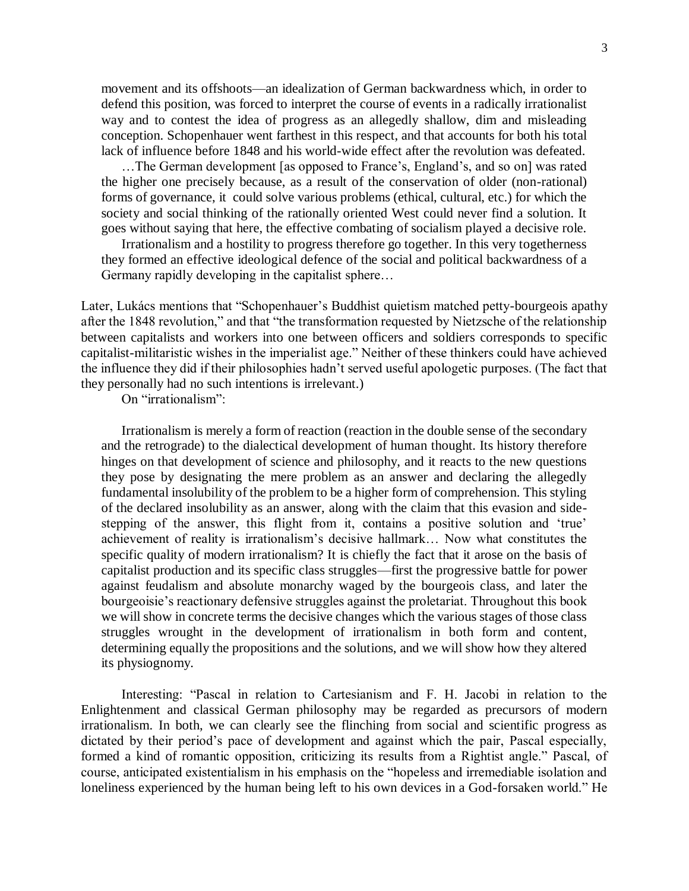movement and its offshoots—an idealization of German backwardness which, in order to defend this position, was forced to interpret the course of events in a radically irrationalist way and to contest the idea of progress as an allegedly shallow, dim and misleading conception. Schopenhauer went farthest in this respect, and that accounts for both his total lack of influence before 1848 and his world-wide effect after the revolution was defeated.

…The German development [as opposed to France's, England's, and so on] was rated the higher one precisely because, as a result of the conservation of older (non-rational) forms of governance, it could solve various problems (ethical, cultural, etc.) for which the society and social thinking of the rationally oriented West could never find a solution. It goes without saying that here, the effective combating of socialism played a decisive role.

Irrationalism and a hostility to progress therefore go together. In this very togetherness they formed an effective ideological defence of the social and political backwardness of a Germany rapidly developing in the capitalist sphere…

Later, Lukács mentions that "Schopenhauer's Buddhist quietism matched petty-bourgeois apathy after the 1848 revolution," and that "the transformation requested by Nietzsche of the relationship between capitalists and workers into one between officers and soldiers corresponds to specific capitalist-militaristic wishes in the imperialist age." Neither of these thinkers could have achieved the influence they did if their philosophies hadn't served useful apologetic purposes. (The fact that they personally had no such intentions is irrelevant.)

On "irrationalism":

Irrationalism is merely a form of reaction (reaction in the double sense of the secondary and the retrograde) to the dialectical development of human thought. Its history therefore hinges on that development of science and philosophy, and it reacts to the new questions they pose by designating the mere problem as an answer and declaring the allegedly fundamental insolubility of the problem to be a higher form of comprehension. This styling of the declared insolubility as an answer, along with the claim that this evasion and sidestepping of the answer, this flight from it, contains a positive solution and 'true' achievement of reality is irrationalism's decisive hallmark… Now what constitutes the specific quality of modern irrationalism? It is chiefly the fact that it arose on the basis of capitalist production and its specific class struggles—first the progressive battle for power against feudalism and absolute monarchy waged by the bourgeois class, and later the bourgeoisie's reactionary defensive struggles against the proletariat. Throughout this book we will show in concrete terms the decisive changes which the various stages of those class struggles wrought in the development of irrationalism in both form and content, determining equally the propositions and the solutions, and we will show how they altered its physiognomy.

Interesting: "Pascal in relation to Cartesianism and F. H. Jacobi in relation to the Enlightenment and classical German philosophy may be regarded as precursors of modern irrationalism. In both, we can clearly see the flinching from social and scientific progress as dictated by their period's pace of development and against which the pair, Pascal especially, formed a kind of romantic opposition, criticizing its results from a Rightist angle." Pascal, of course, anticipated existentialism in his emphasis on the "hopeless and irremediable isolation and loneliness experienced by the human being left to his own devices in a God-forsaken world." He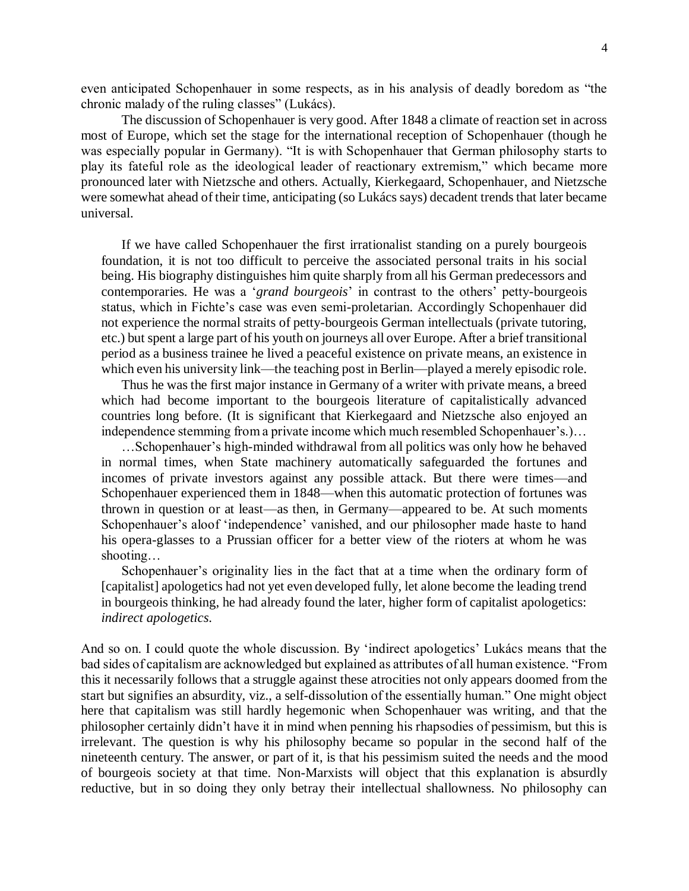even anticipated Schopenhauer in some respects, as in his analysis of deadly boredom as "the chronic malady of the ruling classes" (Lukács).

The discussion of Schopenhauer is very good. After 1848 a climate of reaction set in across most of Europe, which set the stage for the international reception of Schopenhauer (though he was especially popular in Germany). "It is with Schopenhauer that German philosophy starts to play its fateful role as the ideological leader of reactionary extremism," which became more pronounced later with Nietzsche and others. Actually, Kierkegaard, Schopenhauer, and Nietzsche were somewhat ahead of their time, anticipating (so Lukács says) decadent trends that later became universal.

If we have called Schopenhauer the first irrationalist standing on a purely bourgeois foundation, it is not too difficult to perceive the associated personal traits in his social being. His biography distinguishes him quite sharply from all his German predecessors and contemporaries. He was a '*grand bourgeois*' in contrast to the others' petty-bourgeois status, which in Fichte's case was even semi-proletarian. Accordingly Schopenhauer did not experience the normal straits of petty-bourgeois German intellectuals (private tutoring, etc.) but spent a large part of his youth on journeys all over Europe. After a brief transitional period as a business trainee he lived a peaceful existence on private means, an existence in which even his university link—the teaching post in Berlin—played a merely episodic role.

Thus he was the first major instance in Germany of a writer with private means, a breed which had become important to the bourgeois literature of capitalistically advanced countries long before. (It is significant that Kierkegaard and Nietzsche also enjoyed an independence stemming from a private income which much resembled Schopenhauer's.)…

…Schopenhauer's high-minded withdrawal from all politics was only how he behaved in normal times, when State machinery automatically safeguarded the fortunes and incomes of private investors against any possible attack. But there were times—and Schopenhauer experienced them in 1848—when this automatic protection of fortunes was thrown in question or at least—as then, in Germany—appeared to be. At such moments Schopenhauer's aloof 'independence' vanished, and our philosopher made haste to hand his opera-glasses to a Prussian officer for a better view of the rioters at whom he was shooting…

Schopenhauer's originality lies in the fact that at a time when the ordinary form of [capitalist] apologetics had not yet even developed fully, let alone become the leading trend in bourgeois thinking, he had already found the later, higher form of capitalist apologetics: *indirect apologetics*.

And so on. I could quote the whole discussion. By 'indirect apologetics' Lukács means that the bad sides of capitalism are acknowledged but explained as attributes of all human existence. "From this it necessarily follows that a struggle against these atrocities not only appears doomed from the start but signifies an absurdity, viz., a self-dissolution of the essentially human." One might object here that capitalism was still hardly hegemonic when Schopenhauer was writing, and that the philosopher certainly didn't have it in mind when penning his rhapsodies of pessimism, but this is irrelevant. The question is why his philosophy became so popular in the second half of the nineteenth century. The answer, or part of it, is that his pessimism suited the needs and the mood of bourgeois society at that time. Non-Marxists will object that this explanation is absurdly reductive, but in so doing they only betray their intellectual shallowness. No philosophy can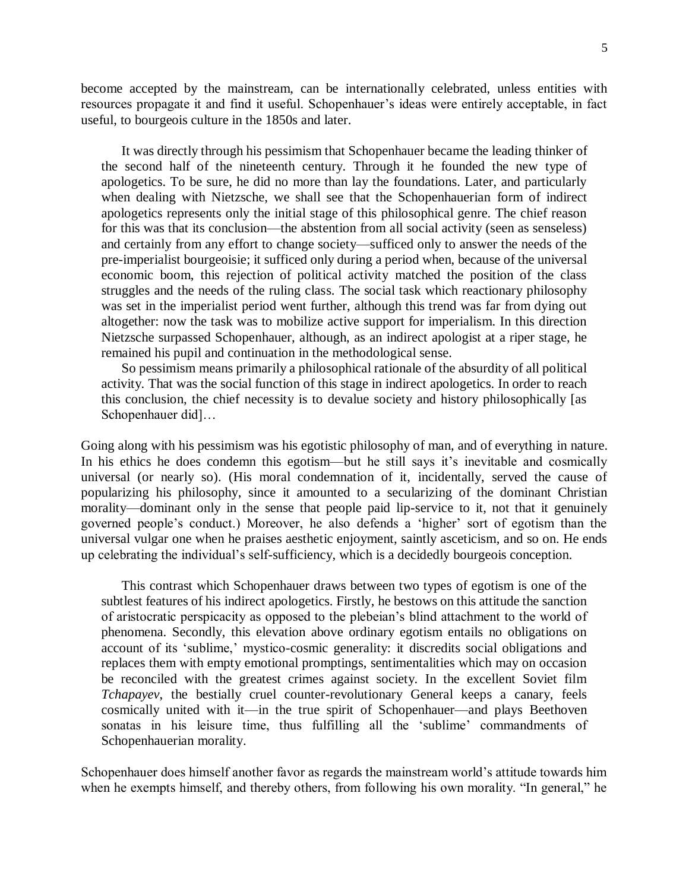become accepted by the mainstream, can be internationally celebrated, unless entities with resources propagate it and find it useful. Schopenhauer's ideas were entirely acceptable, in fact useful, to bourgeois culture in the 1850s and later.

It was directly through his pessimism that Schopenhauer became the leading thinker of the second half of the nineteenth century. Through it he founded the new type of apologetics. To be sure, he did no more than lay the foundations. Later, and particularly when dealing with Nietzsche, we shall see that the Schopenhauerian form of indirect apologetics represents only the initial stage of this philosophical genre. The chief reason for this was that its conclusion—the abstention from all social activity (seen as senseless) and certainly from any effort to change society—sufficed only to answer the needs of the pre-imperialist bourgeoisie; it sufficed only during a period when, because of the universal economic boom, this rejection of political activity matched the position of the class struggles and the needs of the ruling class. The social task which reactionary philosophy was set in the imperialist period went further, although this trend was far from dying out altogether: now the task was to mobilize active support for imperialism. In this direction Nietzsche surpassed Schopenhauer, although, as an indirect apologist at a riper stage, he remained his pupil and continuation in the methodological sense.

So pessimism means primarily a philosophical rationale of the absurdity of all political activity. That was the social function of this stage in indirect apologetics. In order to reach this conclusion, the chief necessity is to devalue society and history philosophically [as Schopenhauer did]…

Going along with his pessimism was his egotistic philosophy of man, and of everything in nature. In his ethics he does condemn this egotism—but he still says it's inevitable and cosmically universal (or nearly so). (His moral condemnation of it, incidentally, served the cause of popularizing his philosophy, since it amounted to a secularizing of the dominant Christian morality—dominant only in the sense that people paid lip-service to it, not that it genuinely governed people's conduct.) Moreover, he also defends a 'higher' sort of egotism than the universal vulgar one when he praises aesthetic enjoyment, saintly asceticism, and so on. He ends up celebrating the individual's self-sufficiency, which is a decidedly bourgeois conception.

This contrast which Schopenhauer draws between two types of egotism is one of the subtlest features of his indirect apologetics. Firstly, he bestows on this attitude the sanction of aristocratic perspicacity as opposed to the plebeian's blind attachment to the world of phenomena. Secondly, this elevation above ordinary egotism entails no obligations on account of its 'sublime,' mystico-cosmic generality: it discredits social obligations and replaces them with empty emotional promptings, sentimentalities which may on occasion be reconciled with the greatest crimes against society. In the excellent Soviet film *Tchapayev*, the bestially cruel counter-revolutionary General keeps a canary, feels cosmically united with it—in the true spirit of Schopenhauer—and plays Beethoven sonatas in his leisure time, thus fulfilling all the 'sublime' commandments of Schopenhauerian morality.

Schopenhauer does himself another favor as regards the mainstream world's attitude towards him when he exempts himself, and thereby others, from following his own morality. "In general," he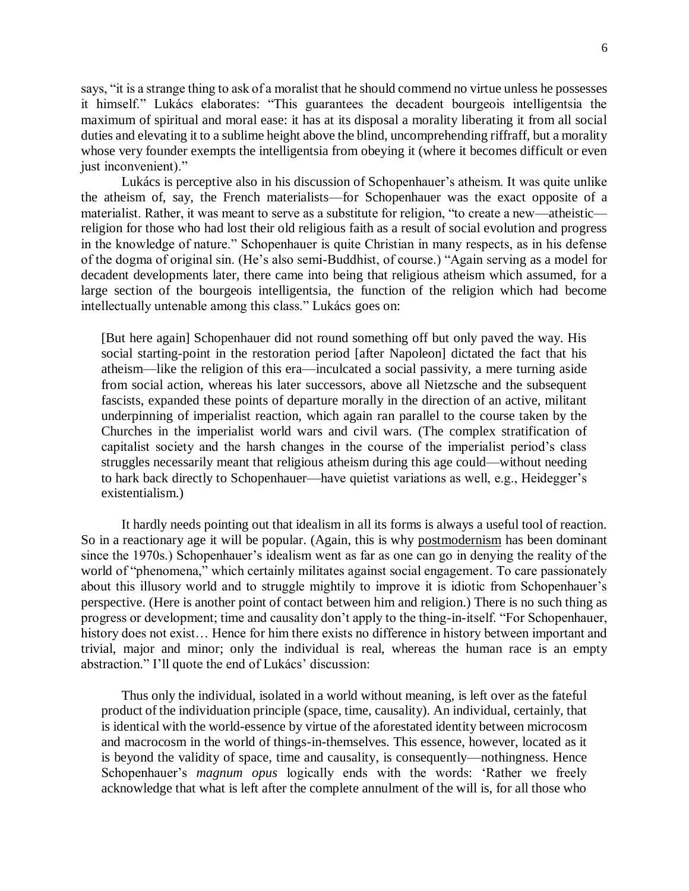says, "it is a strange thing to ask of a moralist that he should commend no virtue unless he possesses it himself." Lukács elaborates: "This guarantees the decadent bourgeois intelligentsia the maximum of spiritual and moral ease: it has at its disposal a morality liberating it from all social duties and elevating it to a sublime height above the blind, uncomprehending riffraff, but a morality whose very founder exempts the intelligentsia from obeying it (where it becomes difficult or even just inconvenient)."

Lukács is perceptive also in his discussion of Schopenhauer's atheism. It was quite unlike the atheism of, say, the French materialists—for Schopenhauer was the exact opposite of a materialist. Rather, it was meant to serve as a substitute for religion, "to create a new—atheistic religion for those who had lost their old religious faith as a result of social evolution and progress in the knowledge of nature." Schopenhauer is quite Christian in many respects, as in his defense of the dogma of original sin. (He's also semi-Buddhist, of course.) "Again serving as a model for decadent developments later, there came into being that religious atheism which assumed, for a large section of the bourgeois intelligentsia, the function of the religion which had become intellectually untenable among this class." Lukács goes on:

[But here again] Schopenhauer did not round something off but only paved the way. His social starting-point in the restoration period [after Napoleon] dictated the fact that his atheism—like the religion of this era—inculcated a social passivity, a mere turning aside from social action, whereas his later successors, above all Nietzsche and the subsequent fascists, expanded these points of departure morally in the direction of an active, militant underpinning of imperialist reaction, which again ran parallel to the course taken by the Churches in the imperialist world wars and civil wars. (The complex stratification of capitalist society and the harsh changes in the course of the imperialist period's class struggles necessarily meant that religious atheism during this age could—without needing to hark back directly to Schopenhauer—have quietist variations as well, e.g., Heidegger's existentialism.)

It hardly needs pointing out that idealism in all its forms is always a useful tool of reaction. So in a reactionary age it will be popular. (Again, this is why [postmodernism](https://www.wrightswriting.com/postmodernism) has been dominant since the 1970s.) Schopenhauer's idealism went as far as one can go in denying the reality of the world of "phenomena," which certainly militates against social engagement. To care passionately about this illusory world and to struggle mightily to improve it is idiotic from Schopenhauer's perspective. (Here is another point of contact between him and religion.) There is no such thing as progress or development; time and causality don't apply to the thing-in-itself. "For Schopenhauer, history does not exist... Hence for him there exists no difference in history between important and trivial, major and minor; only the individual is real, whereas the human race is an empty abstraction." I'll quote the end of Lukács' discussion:

Thus only the individual, isolated in a world without meaning, is left over as the fateful product of the individuation principle (space, time, causality). An individual, certainly, that is identical with the world-essence by virtue of the aforestated identity between microcosm and macrocosm in the world of things-in-themselves. This essence, however, located as it is beyond the validity of space, time and causality, is consequently—nothingness. Hence Schopenhauer's *magnum opus* logically ends with the words: 'Rather we freely acknowledge that what is left after the complete annulment of the will is, for all those who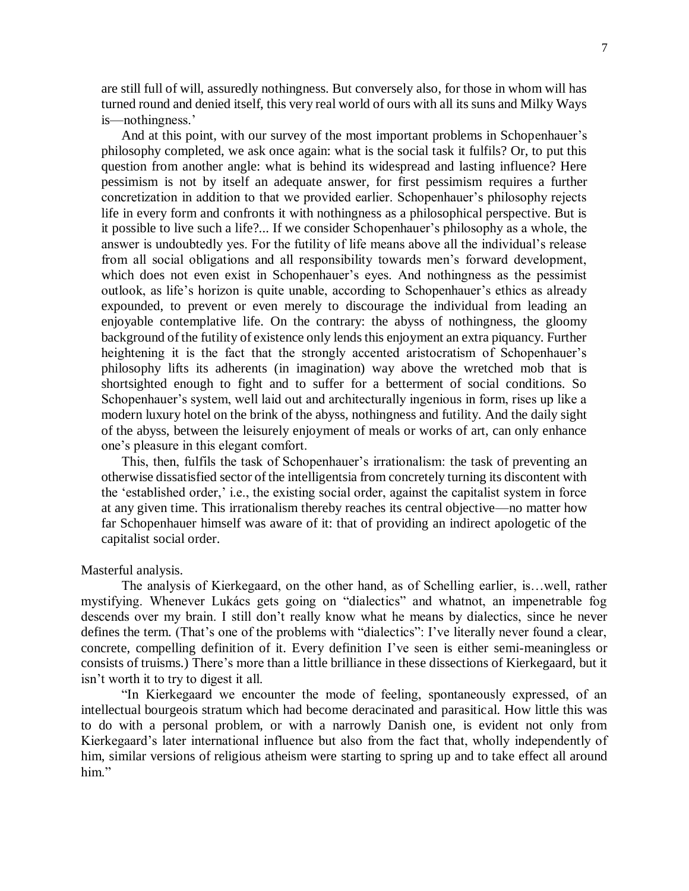are still full of will, assuredly nothingness. But conversely also, for those in whom will has turned round and denied itself, this very real world of ours with all its suns and Milky Ways is—nothingness.'

And at this point, with our survey of the most important problems in Schopenhauer's philosophy completed, we ask once again: what is the social task it fulfils? Or, to put this question from another angle: what is behind its widespread and lasting influence? Here pessimism is not by itself an adequate answer, for first pessimism requires a further concretization in addition to that we provided earlier. Schopenhauer's philosophy rejects life in every form and confronts it with nothingness as a philosophical perspective. But is it possible to live such a life?... If we consider Schopenhauer's philosophy as a whole, the answer is undoubtedly yes. For the futility of life means above all the individual's release from all social obligations and all responsibility towards men's forward development, which does not even exist in Schopenhauer's eyes. And nothingness as the pessimist outlook, as life's horizon is quite unable, according to Schopenhauer's ethics as already expounded, to prevent or even merely to discourage the individual from leading an enjoyable contemplative life. On the contrary: the abyss of nothingness, the gloomy background of the futility of existence only lends this enjoyment an extra piquancy. Further heightening it is the fact that the strongly accented aristocratism of Schopenhauer's philosophy lifts its adherents (in imagination) way above the wretched mob that is shortsighted enough to fight and to suffer for a betterment of social conditions. So Schopenhauer's system, well laid out and architecturally ingenious in form, rises up like a modern luxury hotel on the brink of the abyss, nothingness and futility. And the daily sight of the abyss, between the leisurely enjoyment of meals or works of art, can only enhance one's pleasure in this elegant comfort.

This, then, fulfils the task of Schopenhauer's irrationalism: the task of preventing an otherwise dissatisfied sector of the intelligentsia from concretely turning its discontent with the 'established order,' i.e., the existing social order, against the capitalist system in force at any given time. This irrationalism thereby reaches its central objective—no matter how far Schopenhauer himself was aware of it: that of providing an indirect apologetic of the capitalist social order.

## Masterful analysis.

The analysis of Kierkegaard, on the other hand, as of Schelling earlier, is…well, rather mystifying. Whenever Lukács gets going on "dialectics" and whatnot, an impenetrable fog descends over my brain. I still don't really know what he means by dialectics, since he never defines the term. (That's one of the problems with "dialectics": I've literally never found a clear, concrete, compelling definition of it. Every definition I've seen is either semi-meaningless or consists of truisms.) There's more than a little brilliance in these dissections of Kierkegaard, but it isn't worth it to try to digest it all.

"In Kierkegaard we encounter the mode of feeling, spontaneously expressed, of an intellectual bourgeois stratum which had become deracinated and parasitical. How little this was to do with a personal problem, or with a narrowly Danish one, is evident not only from Kierkegaard's later international influence but also from the fact that, wholly independently of him, similar versions of religious atheism were starting to spring up and to take effect all around him."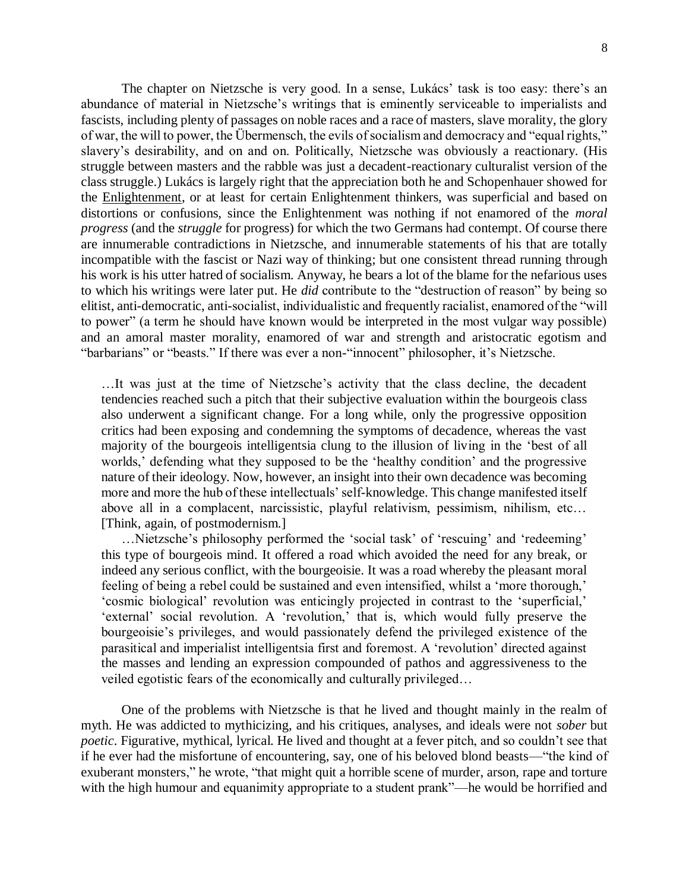The chapter on Nietzsche is very good. In a sense, Lukács' task is too easy: there's an abundance of material in Nietzsche's writings that is eminently serviceable to imperialists and fascists, including plenty of passages on noble races and a race of masters, slave morality, the glory of war, the will to power, the Übermensch, the evils of socialism and democracy and "equal rights," slavery's desirability, and on and on. Politically, Nietzsche was obviously a reactionary. (His struggle between masters and the rabble was just a decadent-reactionary culturalist version of the class struggle.) Lukács is largely right that the appreciation both he and Schopenhauer showed for the [Enlightenment,](https://www.wrightswriting.com/post/2015/06/22/In-defense-of-Socrates) or at least for certain Enlightenment thinkers, was superficial and based on distortions or confusions, since the Enlightenment was nothing if not enamored of the *moral progress* (and the *struggle* for progress) for which the two Germans had contempt. Of course there are innumerable contradictions in Nietzsche, and innumerable statements of his that are totally incompatible with the fascist or Nazi way of thinking; but one consistent thread running through his work is his utter hatred of socialism. Anyway, he bears a lot of the blame for the nefarious uses to which his writings were later put. He *did* contribute to the "destruction of reason" by being so elitist, anti-democratic, anti-socialist, individualistic and frequently racialist, enamored of the "will to power" (a term he should have known would be interpreted in the most vulgar way possible) and an amoral master morality, enamored of war and strength and aristocratic egotism and "barbarians" or "beasts." If there was ever a non-"innocent" philosopher, it's Nietzsche.

…It was just at the time of Nietzsche's activity that the class decline, the decadent tendencies reached such a pitch that their subjective evaluation within the bourgeois class also underwent a significant change. For a long while, only the progressive opposition critics had been exposing and condemning the symptoms of decadence, whereas the vast majority of the bourgeois intelligentsia clung to the illusion of living in the 'best of all worlds,' defending what they supposed to be the 'healthy condition' and the progressive nature of their ideology. Now, however, an insight into their own decadence was becoming more and more the hub of these intellectuals' self-knowledge. This change manifested itself above all in a complacent, narcissistic, playful relativism, pessimism, nihilism, etc… [Think, again, of postmodernism.]

…Nietzsche's philosophy performed the 'social task' of 'rescuing' and 'redeeming' this type of bourgeois mind. It offered a road which avoided the need for any break, or indeed any serious conflict, with the bourgeoisie. It was a road whereby the pleasant moral feeling of being a rebel could be sustained and even intensified, whilst a 'more thorough,' 'cosmic biological' revolution was enticingly projected in contrast to the 'superficial,' 'external' social revolution. A 'revolution,' that is, which would fully preserve the bourgeoisie's privileges, and would passionately defend the privileged existence of the parasitical and imperialist intelligentsia first and foremost. A 'revolution' directed against the masses and lending an expression compounded of pathos and aggressiveness to the veiled egotistic fears of the economically and culturally privileged…

One of the problems with Nietzsche is that he lived and thought mainly in the realm of myth. He was addicted to mythicizing, and his critiques, analyses, and ideals were not *sober* but *poetic*. Figurative, mythical, lyrical. He lived and thought at a fever pitch, and so couldn't see that if he ever had the misfortune of encountering, say, one of his beloved blond beasts—"the kind of exuberant monsters," he wrote, "that might quit a horrible scene of murder, arson, rape and torture with the high humour and equanimity appropriate to a student prank"—he would be horrified and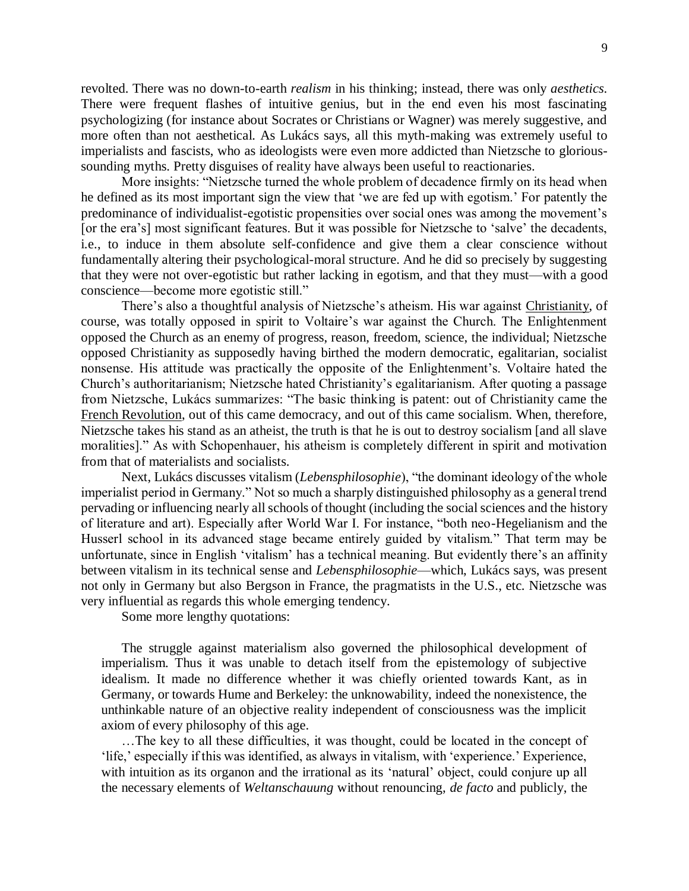revolted. There was no down-to-earth *realism* in his thinking; instead, there was only *aesthetics*. There were frequent flashes of intuitive genius, but in the end even his most fascinating psychologizing (for instance about Socrates or Christians or Wagner) was merely suggestive, and more often than not aesthetical. As Lukács says, all this myth-making was extremely useful to imperialists and fascists, who as ideologists were even more addicted than Nietzsche to glorioussounding myths. Pretty disguises of reality have always been useful to reactionaries.

More insights: "Nietzsche turned the whole problem of decadence firmly on its head when he defined as its most important sign the view that 'we are fed up with egotism.' For patently the predominance of individualist-egotistic propensities over social ones was among the movement's [or the era's] most significant features. But it was possible for Nietzsche to 'salve' the decadents, i.e., to induce in them absolute self-confidence and give them a clear conscience without fundamentally altering their psychological-moral structure. And he did so precisely by suggesting that they were not over-egotistic but rather lacking in egotism, and that they must—with a good conscience—become more egotistic still."

There's also a thoughtful analysis of Nietzsche's atheism. His war against [Christianity,](https://www.wrightswriting.com/post/2015/04/13/Christianity-updated) of course, was totally opposed in spirit to Voltaire's war against the Church. The Enlightenment opposed the Church as an enemy of progress, reason, freedom, science, the individual; Nietzsche opposed Christianity as supposedly having birthed the modern democratic, egalitarian, socialist nonsense. His attitude was practically the opposite of the Enlightenment's. Voltaire hated the Church's authoritarianism; Nietzsche hated Christianity's egalitarianism. After quoting a passage from Nietzsche, Lukács summarizes: "The basic thinking is patent: out of Christianity came the [French Revolution,](https://www.wrightswriting.com/post/2016/08/06/More-thoughts-on-the-French-Revolution) out of this came democracy, and out of this came socialism. When, therefore, Nietzsche takes his stand as an atheist, the truth is that he is out to destroy socialism [and all slave moralities]." As with Schopenhauer, his atheism is completely different in spirit and motivation from that of materialists and socialists.

Next, Lukács discusses vitalism (*Lebensphilosophie*), "the dominant ideology of the whole imperialist period in Germany." Not so much a sharply distinguished philosophy as a general trend pervading or influencing nearly all schools of thought (including the social sciences and the history of literature and art). Especially after World War I. For instance, "both neo-Hegelianism and the Husserl school in its advanced stage became entirely guided by vitalism." That term may be unfortunate, since in English 'vitalism' has a technical meaning. But evidently there's an affinity between vitalism in its technical sense and *Lebensphilosophie*—which, Lukács says, was present not only in Germany but also Bergson in France, the pragmatists in the U.S., etc. Nietzsche was very influential as regards this whole emerging tendency.

Some more lengthy quotations:

The struggle against materialism also governed the philosophical development of imperialism. Thus it was unable to detach itself from the epistemology of subjective idealism. It made no difference whether it was chiefly oriented towards Kant, as in Germany, or towards Hume and Berkeley: the unknowability, indeed the nonexistence, the unthinkable nature of an objective reality independent of consciousness was the implicit axiom of every philosophy of this age.

…The key to all these difficulties, it was thought, could be located in the concept of 'life,' especially if this was identified, as always in vitalism, with 'experience.' Experience, with intuition as its organon and the irrational as its 'natural' object, could conjure up all the necessary elements of *Weltanschauung* without renouncing, *de facto* and publicly, the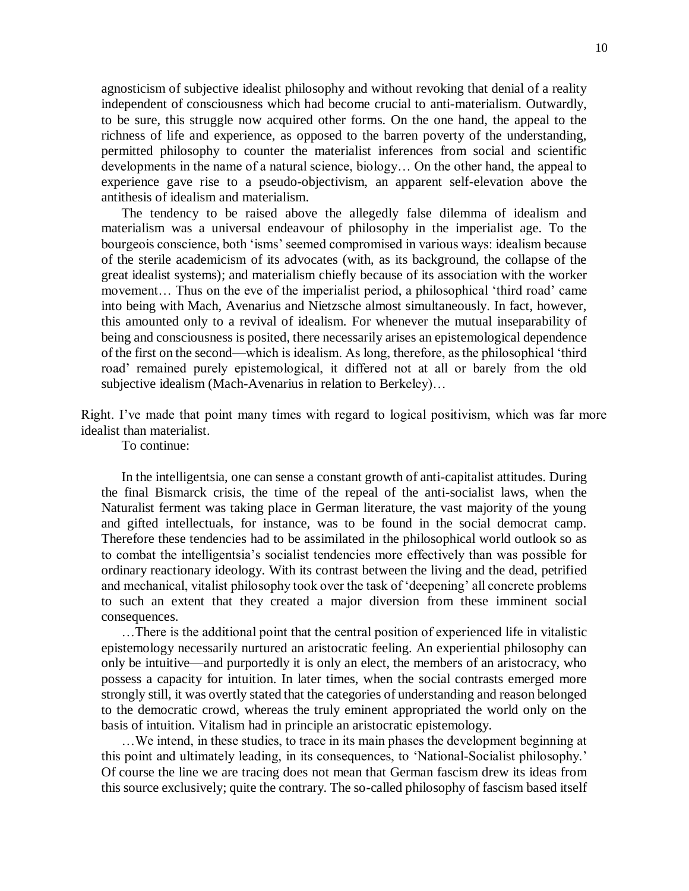agnosticism of subjective idealist philosophy and without revoking that denial of a reality independent of consciousness which had become crucial to anti-materialism. Outwardly, to be sure, this struggle now acquired other forms. On the one hand, the appeal to the richness of life and experience, as opposed to the barren poverty of the understanding, permitted philosophy to counter the materialist inferences from social and scientific developments in the name of a natural science, biology… On the other hand, the appeal to experience gave rise to a pseudo-objectivism, an apparent self-elevation above the antithesis of idealism and materialism.

The tendency to be raised above the allegedly false dilemma of idealism and materialism was a universal endeavour of philosophy in the imperialist age. To the bourgeois conscience, both 'isms' seemed compromised in various ways: idealism because of the sterile academicism of its advocates (with, as its background, the collapse of the great idealist systems); and materialism chiefly because of its association with the worker movement… Thus on the eve of the imperialist period, a philosophical 'third road' came into being with Mach, Avenarius and Nietzsche almost simultaneously. In fact, however, this amounted only to a revival of idealism. For whenever the mutual inseparability of being and consciousness is posited, there necessarily arises an epistemological dependence of the first on the second—which is idealism. As long, therefore, as the philosophical 'third road' remained purely epistemological, it differed not at all or barely from the old subjective idealism (Mach-Avenarius in relation to Berkeley)…

Right. I've made that point many times with regard to logical positivism, which was far more idealist than materialist.

To continue:

In the intelligentsia, one can sense a constant growth of anti-capitalist attitudes. During the final Bismarck crisis, the time of the repeal of the anti-socialist laws, when the Naturalist ferment was taking place in German literature, the vast majority of the young and gifted intellectuals, for instance, was to be found in the social democrat camp. Therefore these tendencies had to be assimilated in the philosophical world outlook so as to combat the intelligentsia's socialist tendencies more effectively than was possible for ordinary reactionary ideology. With its contrast between the living and the dead, petrified and mechanical, vitalist philosophy took over the task of 'deepening' all concrete problems to such an extent that they created a major diversion from these imminent social consequences.

…There is the additional point that the central position of experienced life in vitalistic epistemology necessarily nurtured an aristocratic feeling. An experiential philosophy can only be intuitive—and purportedly it is only an elect, the members of an aristocracy, who possess a capacity for intuition. In later times, when the social contrasts emerged more strongly still, it was overtly stated that the categories of understanding and reason belonged to the democratic crowd, whereas the truly eminent appropriated the world only on the basis of intuition. Vitalism had in principle an aristocratic epistemology.

…We intend, in these studies, to trace in its main phases the development beginning at this point and ultimately leading, in its consequences, to 'National-Socialist philosophy.' Of course the line we are tracing does not mean that German fascism drew its ideas from this source exclusively; quite the contrary. The so-called philosophy of fascism based itself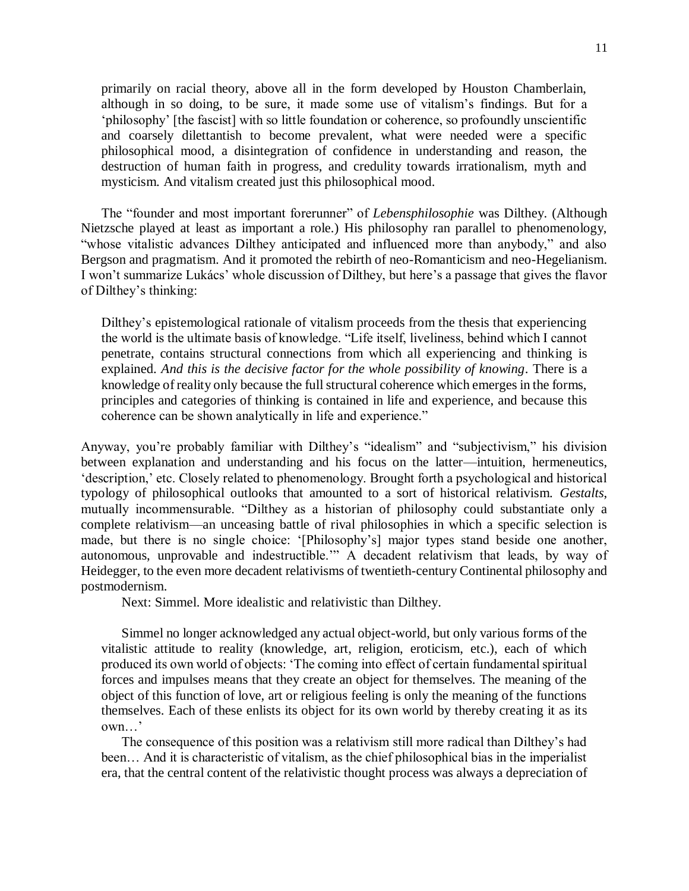primarily on racial theory, above all in the form developed by Houston Chamberlain, although in so doing, to be sure, it made some use of vitalism's findings. But for a 'philosophy' [the fascist] with so little foundation or coherence, so profoundly unscientific and coarsely dilettantish to become prevalent, what were needed were a specific philosophical mood, a disintegration of confidence in understanding and reason, the destruction of human faith in progress, and credulity towards irrationalism, myth and mysticism. And vitalism created just this philosophical mood.

The "founder and most important forerunner" of *Lebensphilosophie* was Dilthey. (Although Nietzsche played at least as important a role.) His philosophy ran parallel to phenomenology, "whose vitalistic advances Dilthey anticipated and influenced more than anybody," and also Bergson and pragmatism. And it promoted the rebirth of neo-Romanticism and neo-Hegelianism. I won't summarize Lukács' whole discussion of Dilthey, but here's a passage that gives the flavor of Dilthey's thinking:

Dilthey's epistemological rationale of vitalism proceeds from the thesis that experiencing the world is the ultimate basis of knowledge. "Life itself, liveliness, behind which I cannot penetrate, contains structural connections from which all experiencing and thinking is explained. *And this is the decisive factor for the whole possibility of knowing*. There is a knowledge of reality only because the full structural coherence which emerges in the forms, principles and categories of thinking is contained in life and experience, and because this coherence can be shown analytically in life and experience."

Anyway, you're probably familiar with Dilthey's "idealism" and "subjectivism," his division between explanation and understanding and his focus on the latter—intuition, hermeneutics, 'description,' etc. Closely related to phenomenology. Brought forth a psychological and historical typology of philosophical outlooks that amounted to a sort of historical relativism. *Gestalts*, mutually incommensurable. "Dilthey as a historian of philosophy could substantiate only a complete relativism—an unceasing battle of rival philosophies in which a specific selection is made, but there is no single choice: '[Philosophy's] major types stand beside one another, autonomous, unprovable and indestructible.'" A decadent relativism that leads, by way of Heidegger, to the even more decadent relativisms of twentieth-century Continental philosophy and postmodernism.

Next: Simmel. More idealistic and relativistic than Dilthey.

Simmel no longer acknowledged any actual object-world, but only various forms of the vitalistic attitude to reality (knowledge, art, religion, eroticism, etc.), each of which produced its own world of objects: 'The coming into effect of certain fundamental spiritual forces and impulses means that they create an object for themselves. The meaning of the object of this function of love, art or religious feeling is only the meaning of the functions themselves. Each of these enlists its object for its own world by thereby creating it as its own…'

The consequence of this position was a relativism still more radical than Dilthey's had been… And it is characteristic of vitalism, as the chief philosophical bias in the imperialist era, that the central content of the relativistic thought process was always a depreciation of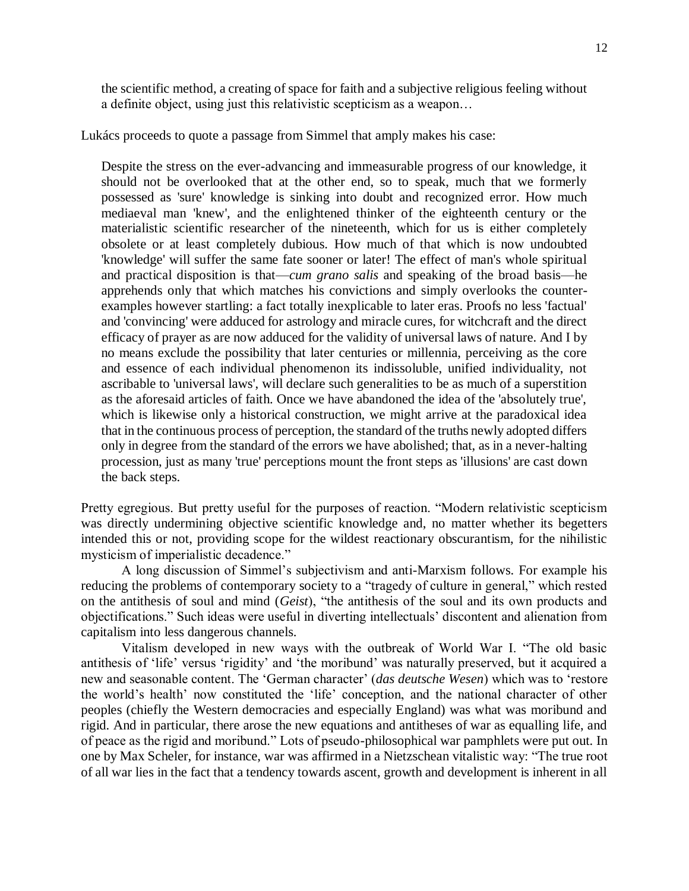the scientific method, a creating of space for faith and a subjective religious feeling without a definite object, using just this relativistic scepticism as a weapon…

Lukács proceeds to quote a passage from Simmel that amply makes his case:

Despite the stress on the ever-advancing and immeasurable progress of our knowledge, it should not be overlooked that at the other end, so to speak, much that we formerly possessed as 'sure' knowledge is sinking into doubt and recognized error. How much mediaeval man 'knew', and the enlightened thinker of the eighteenth century or the materialistic scientific researcher of the nineteenth, which for us is either completely obsolete or at least completely dubious. How much of that which is now undoubted 'knowledge' will suffer the same fate sooner or later! The effect of man's whole spiritual and practical disposition is that—*cum grano salis* and speaking of the broad basis—he apprehends only that which matches his convictions and simply overlooks the counterexamples however startling: a fact totally inexplicable to later eras. Proofs no less 'factual' and 'convincing' were adduced for astrology and miracle cures, for witchcraft and the direct efficacy of prayer as are now adduced for the validity of universal laws of nature. And I by no means exclude the possibility that later centuries or millennia, perceiving as the core and essence of each individual phenomenon its indissoluble, unified individuality, not ascribable to 'universal laws', will declare such generalities to be as much of a superstition as the aforesaid articles of faith. Once we have abandoned the idea of the 'absolutely true', which is likewise only a historical construction, we might arrive at the paradoxical idea that in the continuous process of perception, the standard of the truths newly adopted differs only in degree from the standard of the errors we have abolished; that, as in a never-halting procession, just as many 'true' perceptions mount the front steps as 'illusions' are cast down the back steps.

Pretty egregious. But pretty useful for the purposes of reaction. "Modern relativistic scepticism was directly undermining objective scientific knowledge and, no matter whether its begetters intended this or not, providing scope for the wildest reactionary obscurantism, for the nihilistic mysticism of imperialistic decadence."

A long discussion of Simmel's subjectivism and anti-Marxism follows. For example his reducing the problems of contemporary society to a "tragedy of culture in general," which rested on the antithesis of soul and mind (*Geist*), "the antithesis of the soul and its own products and objectifications." Such ideas were useful in diverting intellectuals' discontent and alienation from capitalism into less dangerous channels.

Vitalism developed in new ways with the outbreak of World War I. "The old basic antithesis of 'life' versus 'rigidity' and 'the moribund' was naturally preserved, but it acquired a new and seasonable content. The 'German character' (*das deutsche Wesen*) which was to 'restore the world's health' now constituted the 'life' conception, and the national character of other peoples (chiefly the Western democracies and especially England) was what was moribund and rigid. And in particular, there arose the new equations and antitheses of war as equalling life, and of peace as the rigid and moribund." Lots of pseudo-philosophical war pamphlets were put out. In one by Max Scheler, for instance, war was affirmed in a Nietzschean vitalistic way: "The true root of all war lies in the fact that a tendency towards ascent, growth and development is inherent in all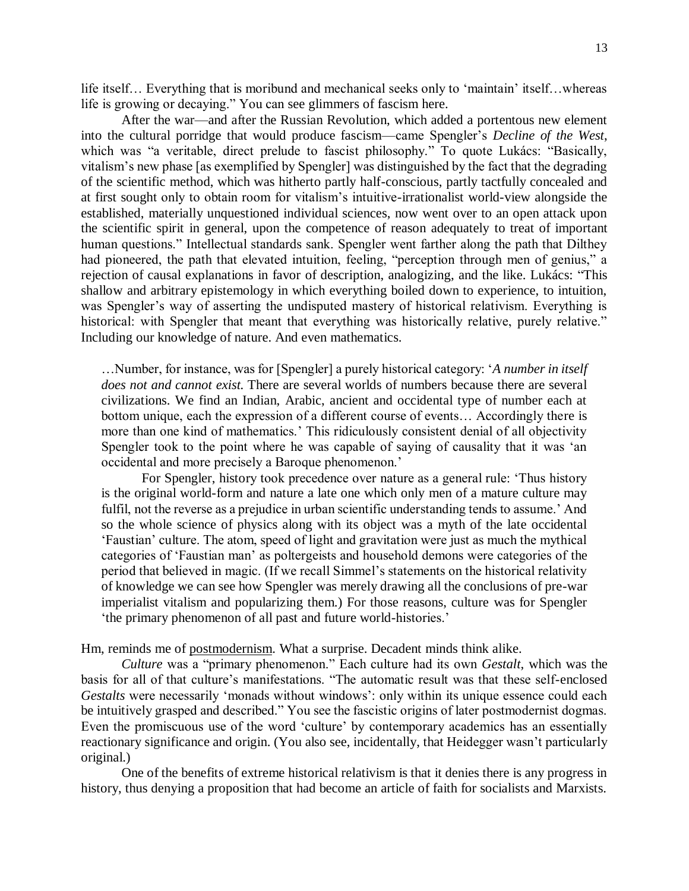life itself… Everything that is moribund and mechanical seeks only to 'maintain' itself…whereas life is growing or decaying." You can see glimmers of fascism here.

After the war—and after the Russian Revolution, which added a portentous new element into the cultural porridge that would produce fascism—came Spengler's *Decline of the West*, which was "a veritable, direct prelude to fascist philosophy." To quote Lukács: "Basically, vitalism's new phase [as exemplified by Spengler] was distinguished by the fact that the degrading of the scientific method, which was hitherto partly half-conscious, partly tactfully concealed and at first sought only to obtain room for vitalism's intuitive-irrationalist world-view alongside the established, materially unquestioned individual sciences, now went over to an open attack upon the scientific spirit in general, upon the competence of reason adequately to treat of important human questions." Intellectual standards sank. Spengler went farther along the path that Dilthey had pioneered, the path that elevated intuition, feeling, "perception through men of genius," a rejection of causal explanations in favor of description, analogizing, and the like. Lukács: "This shallow and arbitrary epistemology in which everything boiled down to experience, to intuition, was Spengler's way of asserting the undisputed mastery of historical relativism. Everything is historical: with Spengler that meant that everything was historically relative, purely relative." Including our knowledge of nature. And even mathematics.

…Number, for instance, was for [Spengler] a purely historical category: '*A number in itself does not and cannot exist.* There are several worlds of numbers because there are several civilizations. We find an Indian, Arabic, ancient and occidental type of number each at bottom unique, each the expression of a different course of events… Accordingly there is more than one kind of mathematics.' This ridiculously consistent denial of all objectivity Spengler took to the point where he was capable of saying of causality that it was 'an occidental and more precisely a Baroque phenomenon.'

For Spengler, history took precedence over nature as a general rule: 'Thus history is the original world-form and nature a late one which only men of a mature culture may fulfil, not the reverse as a prejudice in urban scientific understanding tends to assume.' And so the whole science of physics along with its object was a myth of the late occidental 'Faustian' culture. The atom, speed of light and gravitation were just as much the mythical categories of 'Faustian man' as poltergeists and household demons were categories of the period that believed in magic. (If we recall Simmel's statements on the historical relativity of knowledge we can see how Spengler was merely drawing all the conclusions of pre-war imperialist vitalism and popularizing them.) For those reasons, culture was for Spengler 'the primary phenomenon of all past and future world-histories.'

Hm, reminds me of [postmodernism.](https://www.wrightswriting.com/postmodernism-1) What a surprise. Decadent minds think alike.

*Culture* was a "primary phenomenon." Each culture had its own *Gestalt*, which was the basis for all of that culture's manifestations. "The automatic result was that these self-enclosed *Gestalts* were necessarily 'monads without windows': only within its unique essence could each be intuitively grasped and described." You see the fascistic origins of later postmodernist dogmas. Even the promiscuous use of the word 'culture' by contemporary academics has an essentially reactionary significance and origin. (You also see, incidentally, that Heidegger wasn't particularly original.)

One of the benefits of extreme historical relativism is that it denies there is any progress in history, thus denying a proposition that had become an article of faith for socialists and Marxists.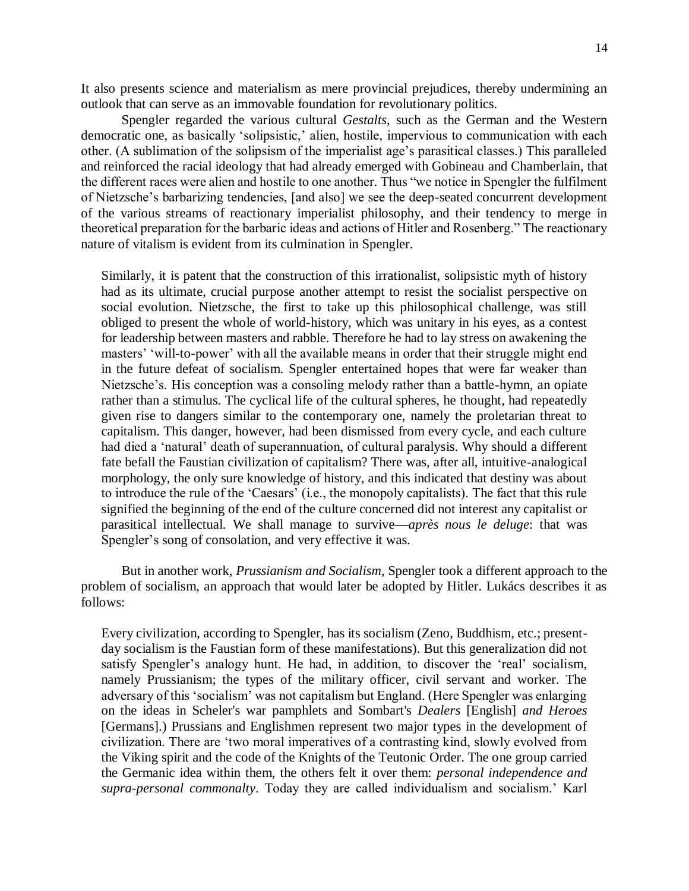It also presents science and materialism as mere provincial prejudices, thereby undermining an outlook that can serve as an immovable foundation for revolutionary politics.

Spengler regarded the various cultural *Gestalts*, such as the German and the Western democratic one, as basically 'solipsistic,' alien, hostile, impervious to communication with each other. (A sublimation of the solipsism of the imperialist age's parasitical classes.) This paralleled and reinforced the racial ideology that had already emerged with Gobineau and Chamberlain, that the different races were alien and hostile to one another. Thus "we notice in Spengler the fulfilment of Nietzsche's barbarizing tendencies, [and also] we see the deep-seated concurrent development of the various streams of reactionary imperialist philosophy, and their tendency to merge in theoretical preparation for the barbaric ideas and actions of Hitler and Rosenberg." The reactionary nature of vitalism is evident from its culmination in Spengler.

Similarly, it is patent that the construction of this irrationalist, solipsistic myth of history had as its ultimate, crucial purpose another attempt to resist the socialist perspective on social evolution. Nietzsche, the first to take up this philosophical challenge, was still obliged to present the whole of world-history, which was unitary in his eyes, as a contest for leadership between masters and rabble. Therefore he had to lay stress on awakening the masters' 'will-to-power' with all the available means in order that their struggle might end in the future defeat of socialism. Spengler entertained hopes that were far weaker than Nietzsche's. His conception was a consoling melody rather than a battle-hymn, an opiate rather than a stimulus. The cyclical life of the cultural spheres, he thought, had repeatedly given rise to dangers similar to the contemporary one, namely the proletarian threat to capitalism. This danger, however, had been dismissed from every cycle, and each culture had died a 'natural' death of superannuation, of cultural paralysis. Why should a different fate befall the Faustian civilization of capitalism? There was, after all, intuitive-analogical morphology, the only sure knowledge of history, and this indicated that destiny was about to introduce the rule of the 'Caesars' (i.e., the monopoly capitalists). The fact that this rule signified the beginning of the end of the culture concerned did not interest any capitalist or parasitical intellectual. We shall manage to survive—*après nous le deluge*: that was Spengler's song of consolation, and very effective it was.

But in another work, *Prussianism and Socialism*, Spengler took a different approach to the problem of socialism, an approach that would later be adopted by Hitler. Lukács describes it as follows:

Every civilization, according to Spengler, has its socialism (Zeno, Buddhism, etc.; presentday socialism is the Faustian form of these manifestations). But this generalization did not satisfy Spengler's analogy hunt. He had, in addition, to discover the 'real' socialism, namely Prussianism; the types of the military officer, civil servant and worker. The adversary of this 'socialism' was not capitalism but England. (Here Spengler was enlarging on the ideas in Scheler's war pamphlets and Sombart's *Dealers* [English] *and Heroes*  [Germans].) Prussians and Englishmen represent two major types in the development of civilization. There are 'two moral imperatives of a contrasting kind, slowly evolved from the Viking spirit and the code of the Knights of the Teutonic Order. The one group carried the Germanic idea within them, the others felt it over them: *personal independence and supra-personal commonalty*. Today they are called individualism and socialism.' Karl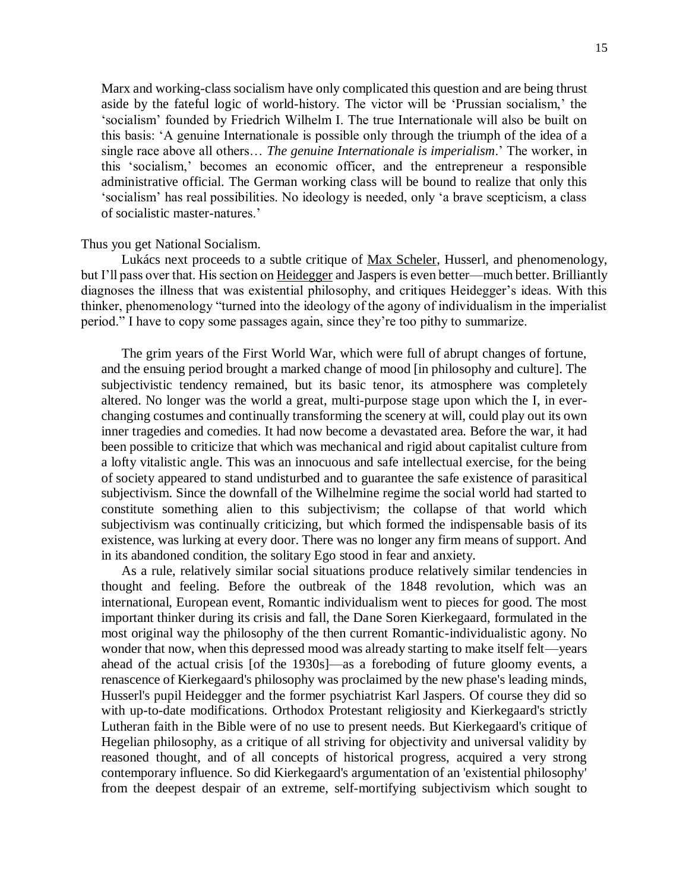Marx and working-class socialism have only complicated this question and are being thrust aside by the fateful logic of world-history. The victor will be 'Prussian socialism,' the 'socialism' founded by Friedrich Wilhelm I. The true Internationale will also be built on this basis: 'A genuine Internationale is possible only through the triumph of the idea of a single race above all others… *The genuine Internationale is imperialism*.' The worker, in this 'socialism,' becomes an economic officer, and the entrepreneur a responsible administrative official. The German working class will be bound to realize that only this 'socialism' has real possibilities. No ideology is needed, only 'a brave scepticism, a class of socialistic master-natures.'

## Thus you get National Socialism.

Lukács next proceeds to a subtle critique of [Max Scheler,](https://www.wrightswriting.com/post/2015/11/18/Two-interpretations-of-love) Husserl, and phenomenology, but I'll pass over that. His section on [Heidegger](https://www.wrightswriting.com/mind-body-1) and Jaspers is even better—much better. Brilliantly diagnoses the illness that was existential philosophy, and critiques Heidegger's ideas. With this thinker, phenomenology "turned into the ideology of the agony of individualism in the imperialist period." I have to copy some passages again, since they're too pithy to summarize.

The grim years of the First World War, which were full of abrupt changes of fortune, and the ensuing period brought a marked change of mood [in philosophy and culture]. The subjectivistic tendency remained, but its basic tenor, its atmosphere was completely altered. No longer was the world a great, multi-purpose stage upon which the I, in everchanging costumes and continually transforming the scenery at will, could play out its own inner tragedies and comedies. It had now become a devastated area. Before the war, it had been possible to criticize that which was mechanical and rigid about capitalist culture from a lofty vitalistic angle. This was an innocuous and safe intellectual exercise, for the being of society appeared to stand undisturbed and to guarantee the safe existence of parasitical subjectivism. Since the downfall of the Wilhelmine regime the social world had started to constitute something alien to this subjectivism; the collapse of that world which subjectivism was continually criticizing, but which formed the indispensable basis of its existence, was lurking at every door. There was no longer any firm means of support. And in its abandoned condition, the solitary Ego stood in fear and anxiety.

As a rule, relatively similar social situations produce relatively similar tendencies in thought and feeling. Before the outbreak of the 1848 revolution, which was an international, European event, Romantic individualism went to pieces for good. The most important thinker during its crisis and fall, the Dane Soren Kierkegaard, formulated in the most original way the philosophy of the then current Romantic-individualistic agony. No wonder that now, when this depressed mood was already starting to make itself felt—years ahead of the actual crisis [of the 1930s]—as a foreboding of future gloomy events, a renascence of Kierkegaard's philosophy was proclaimed by the new phase's leading minds, Husserl's pupil Heidegger and the former psychiatrist Karl Jaspers. Of course they did so with up-to-date modifications. Orthodox Protestant religiosity and Kierkegaard's strictly Lutheran faith in the Bible were of no use to present needs. But Kierkegaard's critique of Hegelian philosophy, as a critique of all striving for objectivity and universal validity by reasoned thought, and of all concepts of historical progress, acquired a very strong contemporary influence. So did Kierkegaard's argumentation of an 'existential philosophy' from the deepest despair of an extreme, self-mortifying subjectivism which sought to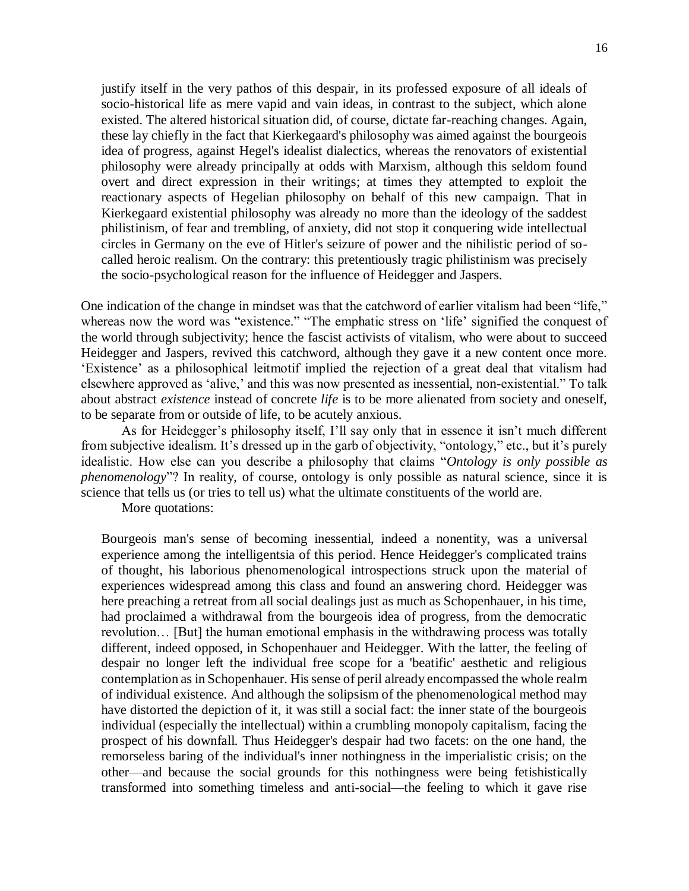justify itself in the very pathos of this despair, in its professed exposure of all ideals of socio-historical life as mere vapid and vain ideas, in contrast to the subject, which alone existed. The altered historical situation did, of course, dictate far-reaching changes. Again, these lay chiefly in the fact that Kierkegaard's philosophy was aimed against the bourgeois idea of progress, against Hegel's idealist dialectics, whereas the renovators of existential philosophy were already principally at odds with Marxism, although this seldom found overt and direct expression in their writings; at times they attempted to exploit the reactionary aspects of Hegelian philosophy on behalf of this new campaign. That in Kierkegaard existential philosophy was already no more than the ideology of the saddest philistinism, of fear and trembling, of anxiety, did not stop it conquering wide intellectual circles in Germany on the eve of Hitler's seizure of power and the nihilistic period of socalled heroic realism. On the contrary: this pretentiously tragic philistinism was precisely the socio-psychological reason for the influence of Heidegger and Jaspers.

One indication of the change in mindset was that the catchword of earlier vitalism had been "life," whereas now the word was "existence." "The emphatic stress on 'life' signified the conquest of the world through subjectivity; hence the fascist activists of vitalism, who were about to succeed Heidegger and Jaspers, revived this catchword, although they gave it a new content once more. 'Existence' as a philosophical leitmotif implied the rejection of a great deal that vitalism had elsewhere approved as 'alive,' and this was now presented as inessential, non-existential." To talk about abstract *existence* instead of concrete *life* is to be more alienated from society and oneself, to be separate from or outside of life, to be acutely anxious.

As for Heidegger's philosophy itself, I'll say only that in essence it isn't much different from subjective idealism. It's dressed up in the garb of objectivity, "ontology," etc., but it's purely idealistic. How else can you describe a philosophy that claims "*Ontology is only possible as phenomenology*"? In reality, of course, ontology is only possible as natural science, since it is science that tells us (or tries to tell us) what the ultimate constituents of the world are.

More quotations:

Bourgeois man's sense of becoming inessential, indeed a nonentity, was a universal experience among the intelligentsia of this period. Hence Heidegger's complicated trains of thought, his laborious phenomenological introspections struck upon the material of experiences widespread among this class and found an answering chord. Heidegger was here preaching a retreat from all social dealings just as much as Schopenhauer, in his time, had proclaimed a withdrawal from the bourgeois idea of progress, from the democratic revolution… [But] the human emotional emphasis in the withdrawing process was totally different, indeed opposed, in Schopenhauer and Heidegger. With the latter, the feeling of despair no longer left the individual free scope for a 'beatific' aesthetic and religious contemplation as in Schopenhauer. His sense of peril already encompassed the whole realm of individual existence. And although the solipsism of the phenomenological method may have distorted the depiction of it, it was still a social fact: the inner state of the bourgeois individual (especially the intellectual) within a crumbling monopoly capitalism, facing the prospect of his downfall. Thus Heidegger's despair had two facets: on the one hand, the remorseless baring of the individual's inner nothingness in the imperialistic crisis; on the other—and because the social grounds for this nothingness were being fetishistically transformed into something timeless and anti-social—the feeling to which it gave rise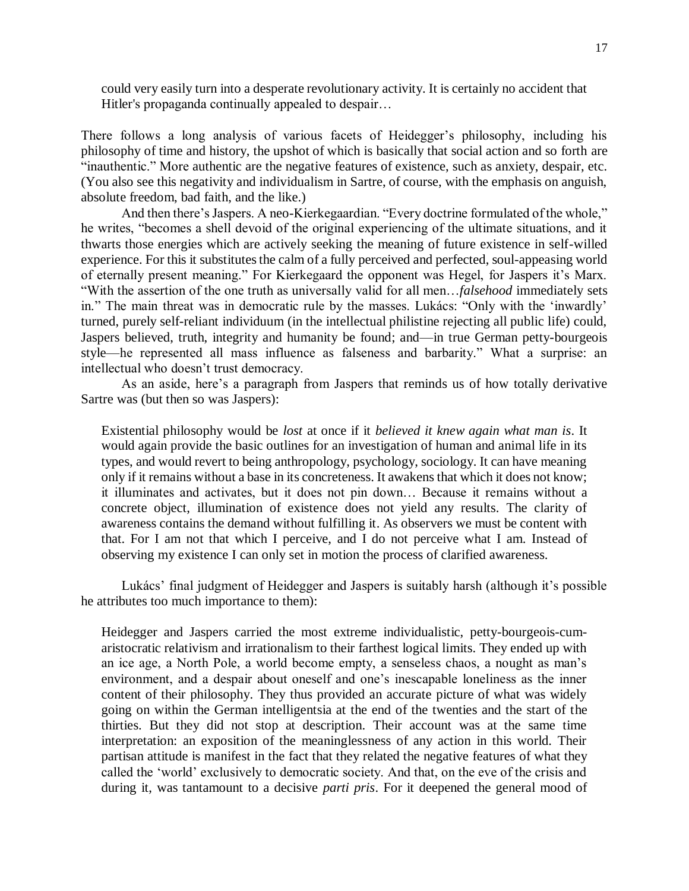could very easily turn into a desperate revolutionary activity. It is certainly no accident that Hitler's propaganda continually appealed to despair…

There follows a long analysis of various facets of Heidegger's philosophy, including his philosophy of time and history, the upshot of which is basically that social action and so forth are "inauthentic." More authentic are the negative features of existence, such as anxiety, despair, etc. (You also see this negativity and individualism in Sartre, of course, with the emphasis on anguish, absolute freedom, bad faith, and the like.)

And then there's Jaspers. A neo-Kierkegaardian. "Every doctrine formulated of the whole," he writes, "becomes a shell devoid of the original experiencing of the ultimate situations, and it thwarts those energies which are actively seeking the meaning of future existence in self-willed experience. For this it substitutes the calm of a fully perceived and perfected, soul-appeasing world of eternally present meaning." For Kierkegaard the opponent was Hegel, for Jaspers it's Marx. "With the assertion of the one truth as universally valid for all men…*falsehood* immediately sets in." The main threat was in democratic rule by the masses. Lukács: "Only with the 'inwardly' turned, purely self-reliant individuum (in the intellectual philistine rejecting all public life) could, Jaspers believed, truth, integrity and humanity be found; and—in true German petty-bourgeois style—he represented all mass influence as falseness and barbarity." What a surprise: an intellectual who doesn't trust democracy.

As an aside, here's a paragraph from Jaspers that reminds us of how totally derivative Sartre was (but then so was Jaspers):

Existential philosophy would be *lost* at once if it *believed it knew again what man is*. It would again provide the basic outlines for an investigation of human and animal life in its types, and would revert to being anthropology, psychology, sociology. It can have meaning only if it remains without a base in its concreteness. It awakens that which it does not know; it illuminates and activates, but it does not pin down… Because it remains without a concrete object, illumination of existence does not yield any results. The clarity of awareness contains the demand without fulfilling it. As observers we must be content with that. For I am not that which I perceive, and I do not perceive what I am. Instead of observing my existence I can only set in motion the process of clarified awareness.

Lukács' final judgment of Heidegger and Jaspers is suitably harsh (although it's possible he attributes too much importance to them):

Heidegger and Jaspers carried the most extreme individualistic, petty-bourgeois-cumaristocratic relativism and irrationalism to their farthest logical limits. They ended up with an ice age, a North Pole, a world become empty, a senseless chaos, a nought as man's environment, and a despair about oneself and one's inescapable loneliness as the inner content of their philosophy. They thus provided an accurate picture of what was widely going on within the German intelligentsia at the end of the twenties and the start of the thirties. But they did not stop at description. Their account was at the same time interpretation: an exposition of the meaninglessness of any action in this world. Their partisan attitude is manifest in the fact that they related the negative features of what they called the 'world' exclusively to democratic society. And that, on the eve of the crisis and during it, was tantamount to a decisive *parti pris*. For it deepened the general mood of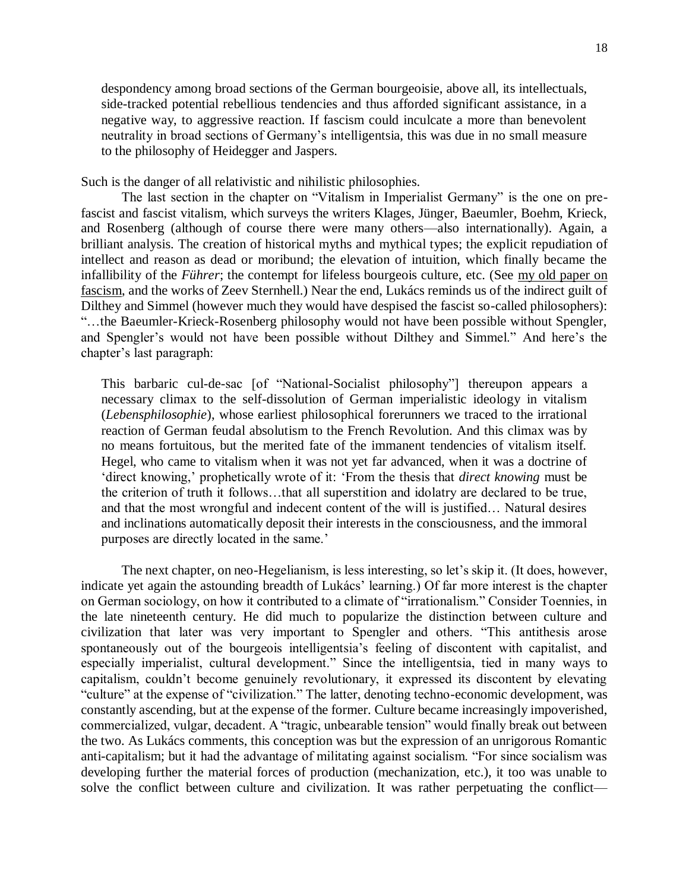despondency among broad sections of the German bourgeoisie, above all, its intellectuals, side-tracked potential rebellious tendencies and thus afforded significant assistance, in a negative way, to aggressive reaction. If fascism could inculcate a more than benevolent neutrality in broad sections of Germany's intelligentsia, this was due in no small measure to the philosophy of Heidegger and Jaspers.

Such is the danger of all relativistic and nihilistic philosophies.

The last section in the chapter on "Vitalism in Imperialist Germany" is the one on prefascist and fascist vitalism, which surveys the writers Klages, Jünger, Baeumler, Boehm, Krieck, and Rosenberg (although of course there were many others—also internationally). Again, a brilliant analysis. The creation of historical myths and mythical types; the explicit repudiation of intellect and reason as dead or moribund; the elevation of intuition, which finally became the infallibility of the *Führer*; the contempt for lifeless bourgeois culture, etc. (See [my old paper on](https://www.wrightswriting.com/_files/ugd/9b146c_b7b77c913e5c4e22ab6d9186b6003365.pdf)  [fascism,](https://www.wrightswriting.com/_files/ugd/9b146c_b7b77c913e5c4e22ab6d9186b6003365.pdf) and the works of Zeev Sternhell.) Near the end, Lukács reminds us of the indirect guilt of Dilthey and Simmel (however much they would have despised the fascist so-called philosophers): "…the Baeumler-Krieck-Rosenberg philosophy would not have been possible without Spengler, and Spengler's would not have been possible without Dilthey and Simmel." And here's the chapter's last paragraph:

This barbaric cul-de-sac [of "National-Socialist philosophy"] thereupon appears a necessary climax to the self-dissolution of German imperialistic ideology in vitalism (*Lebensphilosophie*), whose earliest philosophical forerunners we traced to the irrational reaction of German feudal absolutism to the French Revolution. And this climax was by no means fortuitous, but the merited fate of the immanent tendencies of vitalism itself. Hegel, who came to vitalism when it was not yet far advanced, when it was a doctrine of 'direct knowing,' prophetically wrote of it: 'From the thesis that *direct knowing* must be the criterion of truth it follows…that all superstition and idolatry are declared to be true, and that the most wrongful and indecent content of the will is justified… Natural desires and inclinations automatically deposit their interests in the consciousness, and the immoral purposes are directly located in the same.'

The next chapter, on neo-Hegelianism, is less interesting, so let's skip it. (It does, however, indicate yet again the astounding breadth of Lukács' learning.) Of far more interest is the chapter on German sociology, on how it contributed to a climate of "irrationalism." Consider Toennies, in the late nineteenth century. He did much to popularize the distinction between culture and civilization that later was very important to Spengler and others. "This antithesis arose spontaneously out of the bourgeois intelligentsia's feeling of discontent with capitalist, and especially imperialist, cultural development." Since the intelligentsia, tied in many ways to capitalism, couldn't become genuinely revolutionary, it expressed its discontent by elevating "culture" at the expense of "civilization." The latter, denoting techno-economic development, was constantly ascending, but at the expense of the former. Culture became increasingly impoverished, commercialized, vulgar, decadent. A "tragic, unbearable tension" would finally break out between the two. As Lukács comments, this conception was but the expression of an unrigorous Romantic anti-capitalism; but it had the advantage of militating against socialism. "For since socialism was developing further the material forces of production (mechanization, etc.), it too was unable to solve the conflict between culture and civilization. It was rather perpetuating the conflict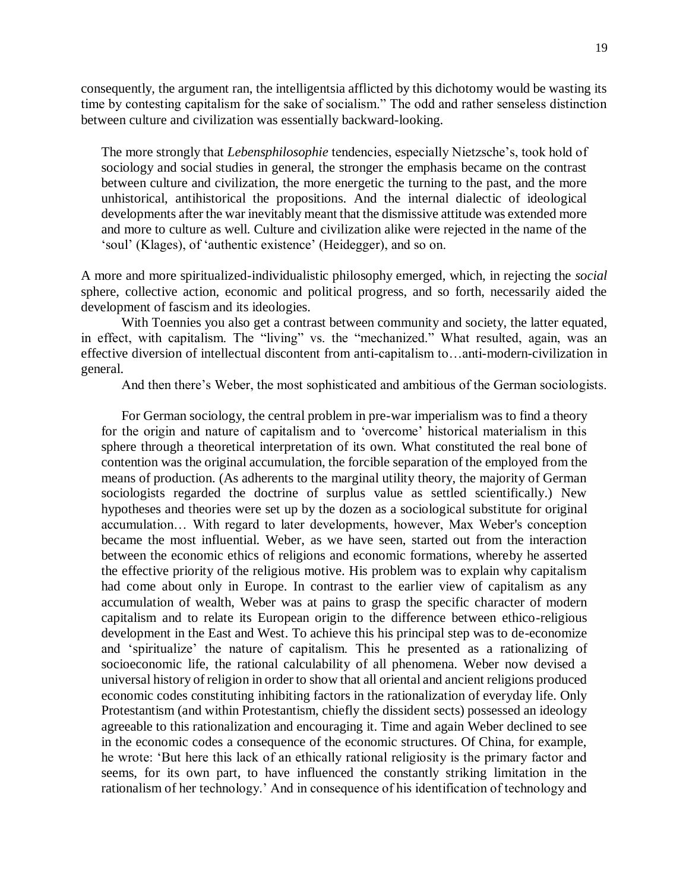consequently, the argument ran, the intelligentsia afflicted by this dichotomy would be wasting its time by contesting capitalism for the sake of socialism." The odd and rather senseless distinction between culture and civilization was essentially backward-looking.

The more strongly that *Lebensphilosophie* tendencies, especially Nietzsche's, took hold of sociology and social studies in general, the stronger the emphasis became on the contrast between culture and civilization, the more energetic the turning to the past, and the more unhistorical, antihistorical the propositions. And the internal dialectic of ideological developments after the war inevitably meant that the dismissive attitude was extended more and more to culture as well. Culture and civilization alike were rejected in the name of the 'soul' (Klages), of 'authentic existence' (Heidegger), and so on.

A more and more spiritualized-individualistic philosophy emerged, which, in rejecting the *social* sphere, collective action, economic and political progress, and so forth, necessarily aided the development of fascism and its ideologies.

With Toennies you also get a contrast between community and society, the latter equated, in effect, with capitalism. The "living" vs. the "mechanized." What resulted, again, was an effective diversion of intellectual discontent from anti-capitalism to…anti-modern-civilization in general.

And then there's Weber, the most sophisticated and ambitious of the German sociologists.

For German sociology, the central problem in pre-war imperialism was to find a theory for the origin and nature of capitalism and to 'overcome' historical materialism in this sphere through a theoretical interpretation of its own. What constituted the real bone of contention was the original accumulation, the forcible separation of the employed from the means of production. (As adherents to the marginal utility theory, the majority of German sociologists regarded the doctrine of surplus value as settled scientifically.) New hypotheses and theories were set up by the dozen as a sociological substitute for original accumulation… With regard to later developments, however, Max Weber's conception became the most influential. Weber, as we have seen, started out from the interaction between the economic ethics of religions and economic formations, whereby he asserted the effective priority of the religious motive. His problem was to explain why capitalism had come about only in Europe. In contrast to the earlier view of capitalism as any accumulation of wealth, Weber was at pains to grasp the specific character of modern capitalism and to relate its European origin to the difference between ethico-religious development in the East and West. To achieve this his principal step was to de-economize and 'spiritualize' the nature of capitalism. This he presented as a rationalizing of socioeconomic life, the rational calculability of all phenomena. Weber now devised a universal history of religion in order to show that all oriental and ancient religions produced economic codes constituting inhibiting factors in the rationalization of everyday life. Only Protestantism (and within Protestantism, chiefly the dissident sects) possessed an ideology agreeable to this rationalization and encouraging it. Time and again Weber declined to see in the economic codes a consequence of the economic structures. Of China, for example, he wrote: 'But here this lack of an ethically rational religiosity is the primary factor and seems, for its own part, to have influenced the constantly striking limitation in the rationalism of her technology.' And in consequence of his identification of technology and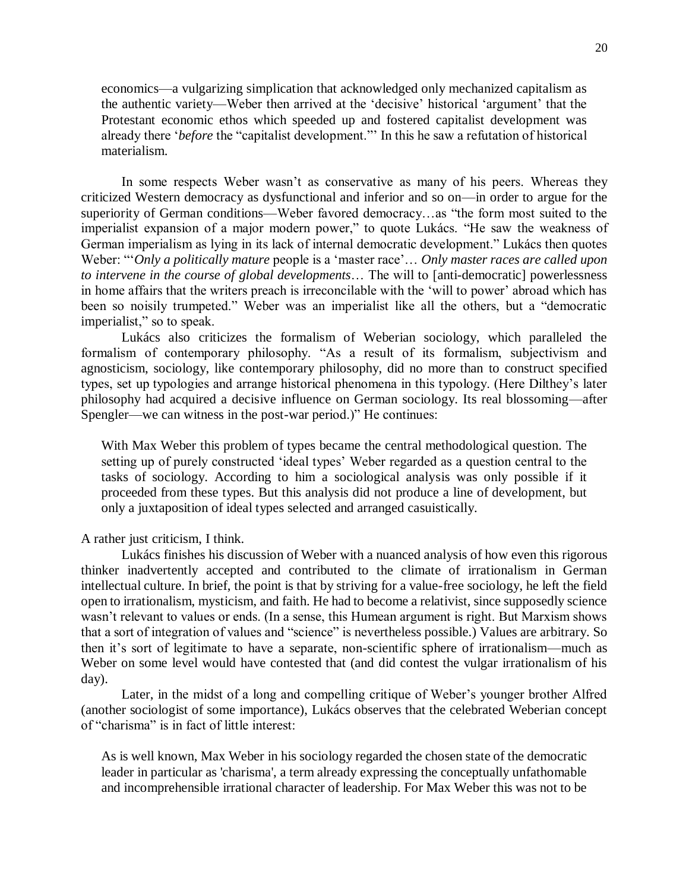economics—a vulgarizing simplication that acknowledged only mechanized capitalism as the authentic variety—Weber then arrived at the 'decisive' historical 'argument' that the Protestant economic ethos which speeded up and fostered capitalist development was already there '*before* the "capitalist development."' In this he saw a refutation of historical materialism.

In some respects Weber wasn't as conservative as many of his peers. Whereas they criticized Western democracy as dysfunctional and inferior and so on—in order to argue for the superiority of German conditions—Weber favored democracy…as "the form most suited to the imperialist expansion of a major modern power," to quote Lukács. "He saw the weakness of German imperialism as lying in its lack of internal democratic development." Lukács then quotes Weber: "'*Only a politically mature* people is a 'master race'… *Only master races are called upon to intervene in the course of global developments*… The will to [anti-democratic] powerlessness in home affairs that the writers preach is irreconcilable with the 'will to power' abroad which has been so noisily trumpeted." Weber was an imperialist like all the others, but a "democratic imperialist," so to speak.

Lukács also criticizes the formalism of Weberian sociology, which paralleled the formalism of contemporary philosophy. "As a result of its formalism, subjectivism and agnosticism, sociology, like contemporary philosophy, did no more than to construct specified types, set up typologies and arrange historical phenomena in this typology. (Here Dilthey's later philosophy had acquired a decisive influence on German sociology. Its real blossoming—after Spengler—we can witness in the post-war period.)" He continues:

With Max Weber this problem of types became the central methodological question. The setting up of purely constructed 'ideal types' Weber regarded as a question central to the tasks of sociology. According to him a sociological analysis was only possible if it proceeded from these types. But this analysis did not produce a line of development, but only a juxtaposition of ideal types selected and arranged casuistically.

A rather just criticism, I think.

Lukács finishes his discussion of Weber with a nuanced analysis of how even this rigorous thinker inadvertently accepted and contributed to the climate of irrationalism in German intellectual culture. In brief, the point is that by striving for a value-free sociology, he left the field open to irrationalism, mysticism, and faith. He had to become a relativist, since supposedly science wasn't relevant to values or ends. (In a sense, this Humean argument is right. But Marxism shows that a sort of integration of values and "science" is nevertheless possible.) Values are arbitrary. So then it's sort of legitimate to have a separate, non-scientific sphere of irrationalism—much as Weber on some level would have contested that (and did contest the vulgar irrationalism of his day).

Later, in the midst of a long and compelling critique of Weber's younger brother Alfred (another sociologist of some importance), Lukács observes that the celebrated Weberian concept of "charisma" is in fact of little interest:

As is well known, Max Weber in his sociology regarded the chosen state of the democratic leader in particular as 'charisma', a term already expressing the conceptually unfathomable and incomprehensible irrational character of leadership. For Max Weber this was not to be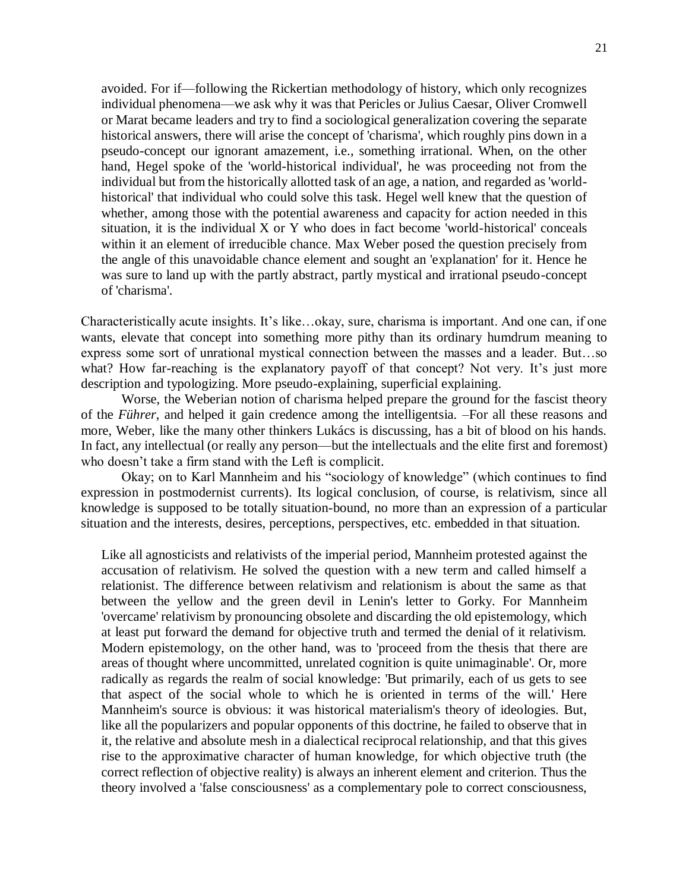avoided. For if—following the Rickertian methodology of history, which only recognizes individual phenomena—we ask why it was that Pericles or Julius Caesar, Oliver Cromwell or Marat became leaders and try to find a sociological generalization covering the separate historical answers, there will arise the concept of 'charisma', which roughly pins down in a pseudo-concept our ignorant amazement, i.e., something irrational. When, on the other hand, Hegel spoke of the 'world-historical individual', he was proceeding not from the individual but from the historically allotted task of an age, a nation, and regarded as 'worldhistorical' that individual who could solve this task. Hegel well knew that the question of whether, among those with the potential awareness and capacity for action needed in this situation, it is the individual X or Y who does in fact become 'world-historical' conceals within it an element of irreducible chance. Max Weber posed the question precisely from the angle of this unavoidable chance element and sought an 'explanation' for it. Hence he was sure to land up with the partly abstract, partly mystical and irrational pseudo-concept of 'charisma'.

Characteristically acute insights. It's like…okay, sure, charisma is important. And one can, if one wants, elevate that concept into something more pithy than its ordinary humdrum meaning to express some sort of unrational mystical connection between the masses and a leader. But…so what? How far-reaching is the explanatory payoff of that concept? Not very. It's just more description and typologizing. More pseudo-explaining, superficial explaining.

Worse, the Weberian notion of charisma helped prepare the ground for the fascist theory of the *Führer*, and helped it gain credence among the intelligentsia. –For all these reasons and more, Weber, like the many other thinkers Lukács is discussing, has a bit of blood on his hands. In fact, any intellectual (or really any person—but the intellectuals and the elite first and foremost) who doesn't take a firm stand with the Left is complicit.

Okay; on to Karl Mannheim and his "sociology of knowledge" (which continues to find expression in postmodernist currents). Its logical conclusion, of course, is relativism, since all knowledge is supposed to be totally situation-bound, no more than an expression of a particular situation and the interests, desires, perceptions, perspectives, etc. embedded in that situation.

Like all agnosticists and relativists of the imperial period, Mannheim protested against the accusation of relativism. He solved the question with a new term and called himself a relationist. The difference between relativism and relationism is about the same as that between the yellow and the green devil in Lenin's letter to Gorky. For Mannheim 'overcame' relativism by pronouncing obsolete and discarding the old epistemology, which at least put forward the demand for objective truth and termed the denial of it relativism. Modern epistemology, on the other hand, was to 'proceed from the thesis that there are areas of thought where uncommitted, unrelated cognition is quite unimaginable'. Or, more radically as regards the realm of social knowledge: 'But primarily, each of us gets to see that aspect of the social whole to which he is oriented in terms of the will.' Here Mannheim's source is obvious: it was historical materialism's theory of ideologies. But, like all the popularizers and popular opponents of this doctrine, he failed to observe that in it, the relative and absolute mesh in a dialectical reciprocal relationship, and that this gives rise to the approximative character of human knowledge, for which objective truth (the correct reflection of objective reality) is always an inherent element and criterion. Thus the theory involved a 'false consciousness' as a complementary pole to correct consciousness,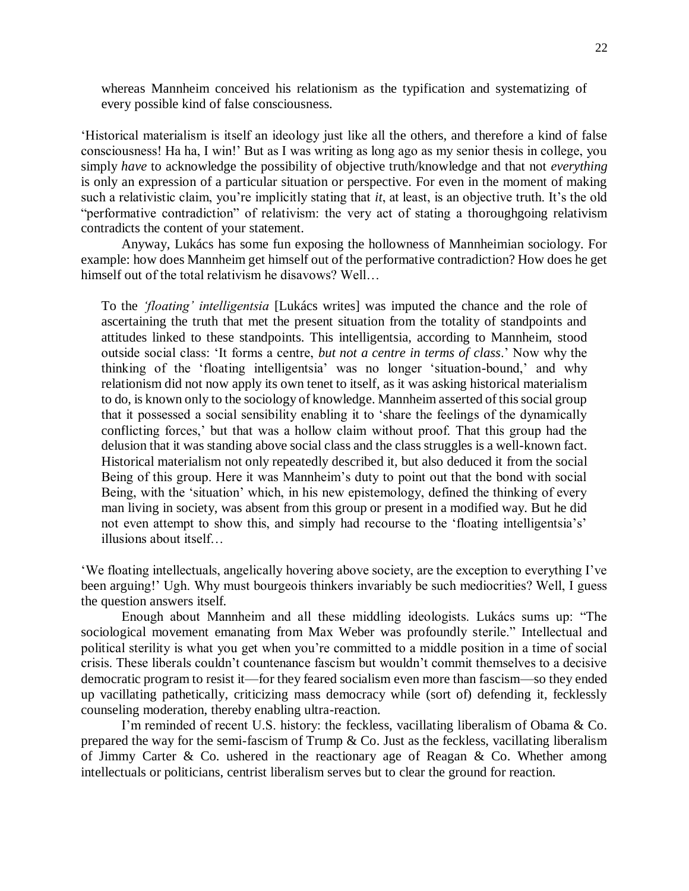whereas Mannheim conceived his relationism as the typification and systematizing of every possible kind of false consciousness.

'Historical materialism is itself an ideology just like all the others, and therefore a kind of false consciousness! Ha ha, I win!' But as I was writing as long ago as my senior thesis in college, you simply *have* to acknowledge the possibility of objective truth/knowledge and that not *everything* is only an expression of a particular situation or perspective. For even in the moment of making such a relativistic claim, you're implicitly stating that *it*, at least, is an objective truth. It's the old "performative contradiction" of relativism: the very act of stating a thoroughgoing relativism contradicts the content of your statement.

Anyway, Lukács has some fun exposing the hollowness of Mannheimian sociology. For example: how does Mannheim get himself out of the performative contradiction? How does he get himself out of the total relativism he disavows? Well...

To the *'floating' intelligentsia* [Lukács writes] was imputed the chance and the role of ascertaining the truth that met the present situation from the totality of standpoints and attitudes linked to these standpoints. This intelligentsia, according to Mannheim, stood outside social class: 'It forms a centre, *but not a centre in terms of class*.' Now why the thinking of the 'floating intelligentsia' was no longer 'situation-bound,' and why relationism did not now apply its own tenet to itself, as it was asking historical materialism to do, is known only to the sociology of knowledge. Mannheim asserted of this social group that it possessed a social sensibility enabling it to 'share the feelings of the dynamically conflicting forces,' but that was a hollow claim without proof. That this group had the delusion that it was standing above social class and the class struggles is a well-known fact. Historical materialism not only repeatedly described it, but also deduced it from the social Being of this group. Here it was Mannheim's duty to point out that the bond with social Being, with the 'situation' which, in his new epistemology, defined the thinking of every man living in society, was absent from this group or present in a modified way. But he did not even attempt to show this, and simply had recourse to the 'floating intelligentsia's' illusions about itself…

'We floating intellectuals, angelically hovering above society, are the exception to everything I've been arguing!' Ugh. Why must bourgeois thinkers invariably be such mediocrities? Well, I guess the question answers itself.

Enough about Mannheim and all these middling ideologists. Lukács sums up: "The sociological movement emanating from Max Weber was profoundly sterile." Intellectual and political sterility is what you get when you're committed to a middle position in a time of social crisis. These liberals couldn't countenance fascism but wouldn't commit themselves to a decisive democratic program to resist it—for they feared socialism even more than fascism—so they ended up vacillating pathetically, criticizing mass democracy while (sort of) defending it, fecklessly counseling moderation, thereby enabling ultra-reaction.

I'm reminded of recent U.S. history: the feckless, vacillating liberalism of Obama & Co. prepared the way for the semi-fascism of Trump  $\&$  Co. Just as the feckless, vacillating liberalism of Jimmy Carter & Co. ushered in the reactionary age of Reagan & Co. Whether among intellectuals or politicians, centrist liberalism serves but to clear the ground for reaction.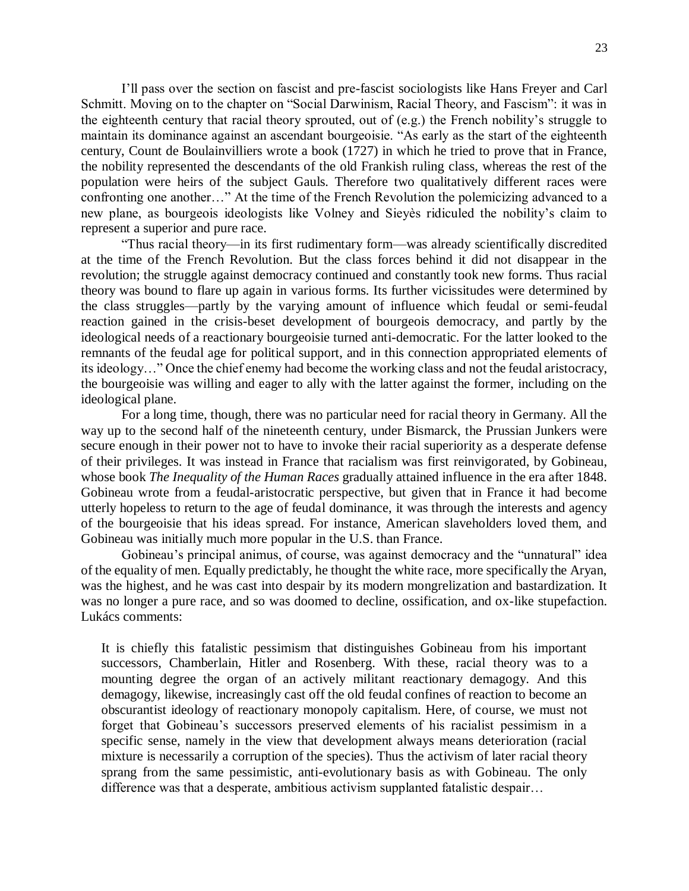I'll pass over the section on fascist and pre-fascist sociologists like Hans Freyer and Carl Schmitt. Moving on to the chapter on "Social Darwinism, Racial Theory, and Fascism": it was in the eighteenth century that racial theory sprouted, out of (e.g.) the French nobility's struggle to maintain its dominance against an ascendant bourgeoisie. "As early as the start of the eighteenth century, Count de Boulainvilliers wrote a book (1727) in which he tried to prove that in France, the nobility represented the descendants of the old Frankish ruling class, whereas the rest of the population were heirs of the subject Gauls. Therefore two qualitatively different races were confronting one another…" At the time of the French Revolution the polemicizing advanced to a new plane, as bourgeois ideologists like Volney and Sieyès ridiculed the nobility's claim to represent a superior and pure race.

"Thus racial theory—in its first rudimentary form—was already scientifically discredited at the time of the French Revolution. But the class forces behind it did not disappear in the revolution; the struggle against democracy continued and constantly took new forms. Thus racial theory was bound to flare up again in various forms. Its further vicissitudes were determined by the class struggles—partly by the varying amount of influence which feudal or semi-feudal reaction gained in the crisis-beset development of bourgeois democracy, and partly by the ideological needs of a reactionary bourgeoisie turned anti-democratic. For the latter looked to the remnants of the feudal age for political support, and in this connection appropriated elements of its ideology…" Once the chief enemy had become the working class and not the feudal aristocracy, the bourgeoisie was willing and eager to ally with the latter against the former, including on the ideological plane.

For a long time, though, there was no particular need for racial theory in Germany. All the way up to the second half of the nineteenth century, under Bismarck, the Prussian Junkers were secure enough in their power not to have to invoke their racial superiority as a desperate defense of their privileges. It was instead in France that racialism was first reinvigorated, by Gobineau, whose book *The Inequality of the Human Races* gradually attained influence in the era after 1848. Gobineau wrote from a feudal-aristocratic perspective, but given that in France it had become utterly hopeless to return to the age of feudal dominance, it was through the interests and agency of the bourgeoisie that his ideas spread. For instance, American slaveholders loved them, and Gobineau was initially much more popular in the U.S. than France.

Gobineau's principal animus, of course, was against democracy and the "unnatural" idea of the equality of men. Equally predictably, he thought the white race, more specifically the Aryan, was the highest, and he was cast into despair by its modern mongrelization and bastardization. It was no longer a pure race, and so was doomed to decline, ossification, and ox-like stupefaction. Lukács comments:

It is chiefly this fatalistic pessimism that distinguishes Gobineau from his important successors, Chamberlain, Hitler and Rosenberg. With these, racial theory was to a mounting degree the organ of an actively militant reactionary demagogy. And this demagogy, likewise, increasingly cast off the old feudal confines of reaction to become an obscurantist ideology of reactionary monopoly capitalism. Here, of course, we must not forget that Gobineau's successors preserved elements of his racialist pessimism in a specific sense, namely in the view that development always means deterioration (racial mixture is necessarily a corruption of the species). Thus the activism of later racial theory sprang from the same pessimistic, anti-evolutionary basis as with Gobineau. The only difference was that a desperate, ambitious activism supplanted fatalistic despair…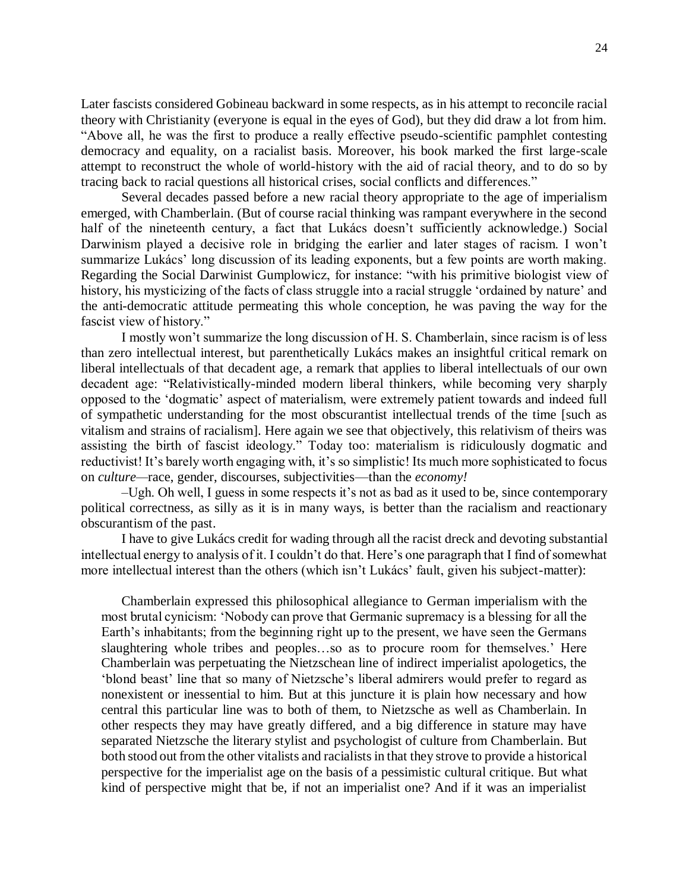Later fascists considered Gobineau backward in some respects, as in his attempt to reconcile racial theory with Christianity (everyone is equal in the eyes of God), but they did draw a lot from him. "Above all, he was the first to produce a really effective pseudo-scientific pamphlet contesting democracy and equality, on a racialist basis. Moreover, his book marked the first large-scale attempt to reconstruct the whole of world-history with the aid of racial theory, and to do so by tracing back to racial questions all historical crises, social conflicts and differences."

Several decades passed before a new racial theory appropriate to the age of imperialism emerged, with Chamberlain. (But of course racial thinking was rampant everywhere in the second half of the nineteenth century, a fact that Lukács doesn't sufficiently acknowledge.) Social Darwinism played a decisive role in bridging the earlier and later stages of racism. I won't summarize Lukács' long discussion of its leading exponents, but a few points are worth making. Regarding the Social Darwinist Gumplowicz, for instance: "with his primitive biologist view of history, his mysticizing of the facts of class struggle into a racial struggle 'ordained by nature' and the anti-democratic attitude permeating this whole conception, he was paving the way for the fascist view of history."

I mostly won't summarize the long discussion of H. S. Chamberlain, since racism is of less than zero intellectual interest, but parenthetically Lukács makes an insightful critical remark on liberal intellectuals of that decadent age, a remark that applies to liberal intellectuals of our own decadent age: "Relativistically-minded modern liberal thinkers, while becoming very sharply opposed to the 'dogmatic' aspect of materialism, were extremely patient towards and indeed full of sympathetic understanding for the most obscurantist intellectual trends of the time [such as vitalism and strains of racialism]. Here again we see that objectively, this relativism of theirs was assisting the birth of fascist ideology." Today too: materialism is ridiculously dogmatic and reductivist! It's barely worth engaging with, it's so simplistic! Its much more sophisticated to focus on *culture—*race, gender, discourses, subjectivities—than the *economy!* 

–Ugh. Oh well, I guess in some respects it's not as bad as it used to be, since contemporary political correctness, as silly as it is in many ways, is better than the racialism and reactionary obscurantism of the past.

I have to give Lukács credit for wading through all the racist dreck and devoting substantial intellectual energy to analysis of it. I couldn't do that. Here's one paragraph that I find of somewhat more intellectual interest than the others (which isn't Lukács' fault, given his subject-matter):

Chamberlain expressed this philosophical allegiance to German imperialism with the most brutal cynicism: 'Nobody can prove that Germanic supremacy is a blessing for all the Earth's inhabitants; from the beginning right up to the present, we have seen the Germans slaughtering whole tribes and peoples…so as to procure room for themselves.' Here Chamberlain was perpetuating the Nietzschean line of indirect imperialist apologetics, the 'blond beast' line that so many of Nietzsche's liberal admirers would prefer to regard as nonexistent or inessential to him. But at this juncture it is plain how necessary and how central this particular line was to both of them, to Nietzsche as well as Chamberlain. In other respects they may have greatly differed, and a big difference in stature may have separated Nietzsche the literary stylist and psychologist of culture from Chamberlain. But both stood out from the other vitalists and racialists in that they strove to provide a historical perspective for the imperialist age on the basis of a pessimistic cultural critique. But what kind of perspective might that be, if not an imperialist one? And if it was an imperialist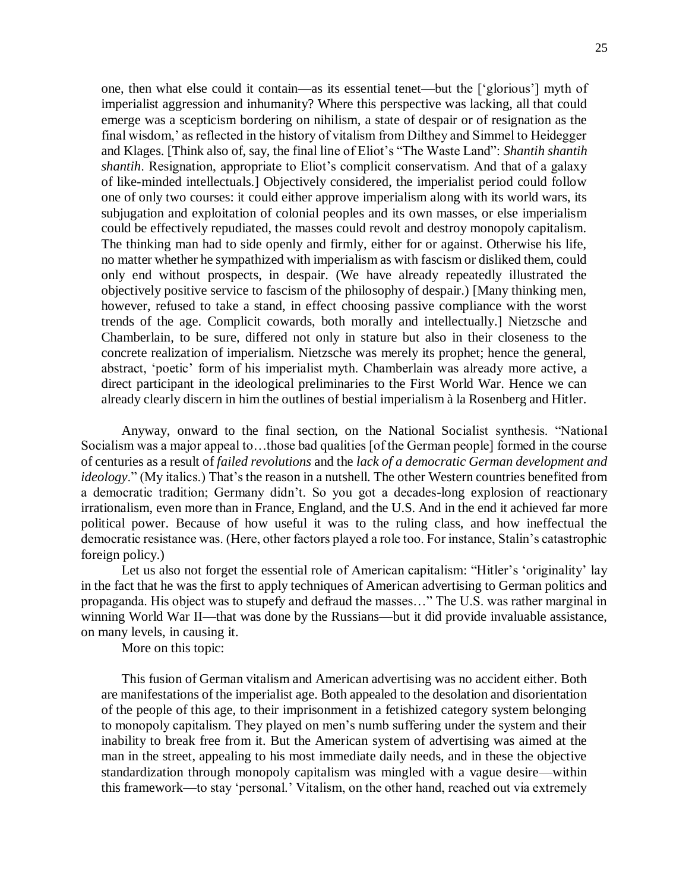one, then what else could it contain—as its essential tenet—but the ['glorious'] myth of imperialist aggression and inhumanity? Where this perspective was lacking, all that could emerge was a scepticism bordering on nihilism, a state of despair or of resignation as the final wisdom,' as reflected in the history of vitalism from Dilthey and Simmel to Heidegger and Klages. [Think also of, say, the final line of Eliot's "The Waste Land": *Shantih shantih shantih*. Resignation, appropriate to Eliot's complicit conservatism. And that of a galaxy of like-minded intellectuals.] Objectively considered, the imperialist period could follow one of only two courses: it could either approve imperialism along with its world wars, its subjugation and exploitation of colonial peoples and its own masses, or else imperialism could be effectively repudiated, the masses could revolt and destroy monopoly capitalism. The thinking man had to side openly and firmly, either for or against. Otherwise his life, no matter whether he sympathized with imperialism as with fascism or disliked them, could only end without prospects, in despair. (We have already repeatedly illustrated the objectively positive service to fascism of the philosophy of despair.) [Many thinking men, however, refused to take a stand, in effect choosing passive compliance with the worst trends of the age. Complicit cowards, both morally and intellectually.] Nietzsche and Chamberlain, to be sure, differed not only in stature but also in their closeness to the concrete realization of imperialism. Nietzsche was merely its prophet; hence the general, abstract, 'poetic' form of his imperialist myth. Chamberlain was already more active, a direct participant in the ideological preliminaries to the First World War. Hence we can already clearly discern in him the outlines of bestial imperialism à la Rosenberg and Hitler.

Anyway, onward to the final section, on the National Socialist synthesis. "National Socialism was a major appeal to…those bad qualities [of the German people] formed in the course of centuries as a result of *failed revolutions* and the *lack of a democratic German development and ideology*." (My italics.) That's the reason in a nutshell. The other Western countries benefited from a democratic tradition; Germany didn't. So you got a decades-long explosion of reactionary irrationalism, even more than in France, England, and the U.S. And in the end it achieved far more political power. Because of how useful it was to the ruling class, and how ineffectual the democratic resistance was. (Here, other factors played a role too. For instance, Stalin's catastrophic foreign policy.)

Let us also not forget the essential role of American capitalism: "Hitler's 'originality' lay in the fact that he was the first to apply techniques of American advertising to German politics and propaganda. His object was to stupefy and defraud the masses…" The U.S. was rather marginal in winning World War II—that was done by the Russians—but it did provide invaluable assistance, on many levels, in causing it.

More on this topic:

This fusion of German vitalism and American advertising was no accident either. Both are manifestations of the imperialist age. Both appealed to the desolation and disorientation of the people of this age, to their imprisonment in a fetishized category system belonging to monopoly capitalism. They played on men's numb suffering under the system and their inability to break free from it. But the American system of advertising was aimed at the man in the street, appealing to his most immediate daily needs, and in these the objective standardization through monopoly capitalism was mingled with a vague desire—within this framework—to stay 'personal.' Vitalism, on the other hand, reached out via extremely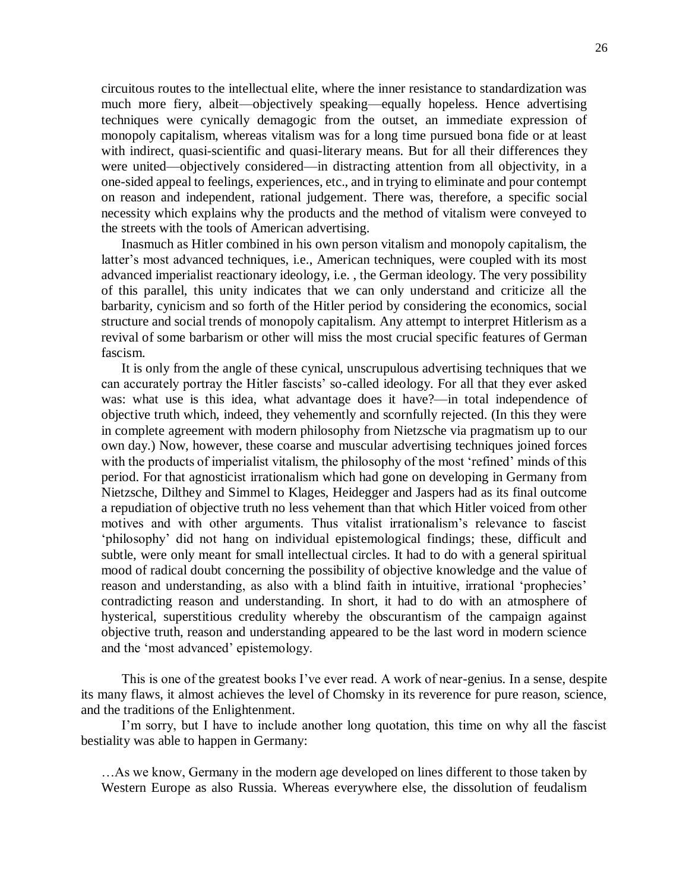circuitous routes to the intellectual elite, where the inner resistance to standardization was much more fiery, albeit—objectively speaking—equally hopeless. Hence advertising techniques were cynically demagogic from the outset, an immediate expression of monopoly capitalism, whereas vitalism was for a long time pursued bona fide or at least with indirect, quasi-scientific and quasi-literary means. But for all their differences they were united—objectively considered—in distracting attention from all objectivity, in a one-sided appeal to feelings, experiences, etc., and in trying to eliminate and pour contempt on reason and independent, rational judgement. There was, therefore, a specific social necessity which explains why the products and the method of vitalism were conveyed to the streets with the tools of American advertising.

Inasmuch as Hitler combined in his own person vitalism and monopoly capitalism, the latter's most advanced techniques, i.e., American techniques, were coupled with its most advanced imperialist reactionary ideology, i.e. , the German ideology. The very possibility of this parallel, this unity indicates that we can only understand and criticize all the barbarity, cynicism and so forth of the Hitler period by considering the economics, social structure and social trends of monopoly capitalism. Any attempt to interpret Hitlerism as a revival of some barbarism or other will miss the most crucial specific features of German fascism.

It is only from the angle of these cynical, unscrupulous advertising techniques that we can accurately portray the Hitler fascists' so-called ideology. For all that they ever asked was: what use is this idea, what advantage does it have?—in total independence of objective truth which, indeed, they vehemently and scornfully rejected. (In this they were in complete agreement with modern philosophy from Nietzsche via pragmatism up to our own day.) Now, however, these coarse and muscular advertising techniques joined forces with the products of imperialist vitalism, the philosophy of the most 'refined' minds of this period. For that agnosticist irrationalism which had gone on developing in Germany from Nietzsche, Dilthey and Simmel to Klages, Heidegger and Jaspers had as its final outcome a repudiation of objective truth no less vehement than that which Hitler voiced from other motives and with other arguments. Thus vitalist irrationalism's relevance to fascist 'philosophy' did not hang on individual epistemological findings; these, difficult and subtle, were only meant for small intellectual circles. It had to do with a general spiritual mood of radical doubt concerning the possibility of objective knowledge and the value of reason and understanding, as also with a blind faith in intuitive, irrational 'prophecies' contradicting reason and understanding. In short, it had to do with an atmosphere of hysterical, superstitious credulity whereby the obscurantism of the campaign against objective truth, reason and understanding appeared to be the last word in modern science and the 'most advanced' epistemology.

This is one of the greatest books I've ever read. A work of near-genius. In a sense, despite its many flaws, it almost achieves the level of Chomsky in its reverence for pure reason, science, and the traditions of the Enlightenment.

I'm sorry, but I have to include another long quotation, this time on why all the fascist bestiality was able to happen in Germany:

…As we know, Germany in the modern age developed on lines different to those taken by Western Europe as also Russia. Whereas everywhere else, the dissolution of feudalism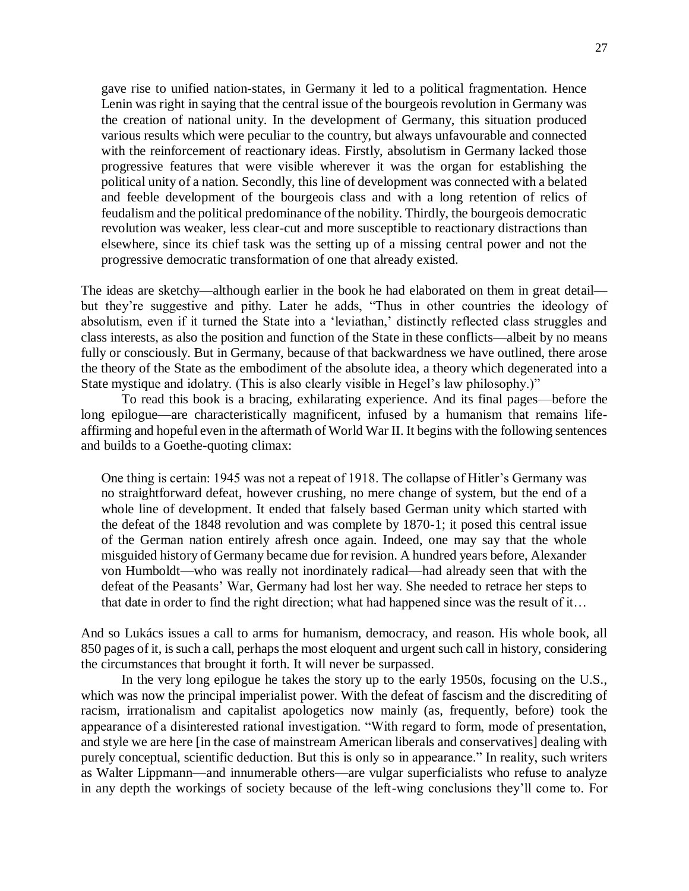gave rise to unified nation-states, in Germany it led to a political fragmentation. Hence Lenin was right in saying that the central issue of the bourgeois revolution in Germany was the creation of national unity. In the development of Germany, this situation produced various results which were peculiar to the country, but always unfavourable and connected with the reinforcement of reactionary ideas. Firstly, absolutism in Germany lacked those progressive features that were visible wherever it was the organ for establishing the political unity of a nation. Secondly, this line of development was connected with a belated and feeble development of the bourgeois class and with a long retention of relics of feudalism and the political predominance of the nobility. Thirdly, the bourgeois democratic revolution was weaker, less clear-cut and more susceptible to reactionary distractions than elsewhere, since its chief task was the setting up of a missing central power and not the progressive democratic transformation of one that already existed.

The ideas are sketchy—although earlier in the book he had elaborated on them in great detail but they're suggestive and pithy. Later he adds, "Thus in other countries the ideology of absolutism, even if it turned the State into a 'leviathan,' distinctly reflected class struggles and class interests, as also the position and function of the State in these conflicts—albeit by no means fully or consciously. But in Germany, because of that backwardness we have outlined, there arose the theory of the State as the embodiment of the absolute idea, a theory which degenerated into a State mystique and idolatry. (This is also clearly visible in Hegel's law philosophy.)"

To read this book is a bracing, exhilarating experience. And its final pages—before the long epilogue—are characteristically magnificent, infused by a humanism that remains lifeaffirming and hopeful even in the aftermath of World War II. It begins with the following sentences and builds to a Goethe-quoting climax:

One thing is certain: 1945 was not a repeat of 1918. The collapse of Hitler's Germany was no straightforward defeat, however crushing, no mere change of system, but the end of a whole line of development. It ended that falsely based German unity which started with the defeat of the 1848 revolution and was complete by 1870-1; it posed this central issue of the German nation entirely afresh once again. Indeed, one may say that the whole misguided history of Germany became due for revision. A hundred years before, Alexander von Humboldt—who was really not inordinately radical—had already seen that with the defeat of the Peasants' War, Germany had lost her way. She needed to retrace her steps to that date in order to find the right direction; what had happened since was the result of it…

And so Lukács issues a call to arms for humanism, democracy, and reason. His whole book, all 850 pages of it, is such a call, perhaps the most eloquent and urgent such call in history, considering the circumstances that brought it forth. It will never be surpassed.

In the very long epilogue he takes the story up to the early 1950s, focusing on the U.S., which was now the principal imperialist power. With the defeat of fascism and the discrediting of racism, irrationalism and capitalist apologetics now mainly (as, frequently, before) took the appearance of a disinterested rational investigation. "With regard to form, mode of presentation, and style we are here [in the case of mainstream American liberals and conservatives] dealing with purely conceptual, scientific deduction. But this is only so in appearance." In reality, such writers as Walter Lippmann—and innumerable others—are vulgar superficialists who refuse to analyze in any depth the workings of society because of the left-wing conclusions they'll come to. For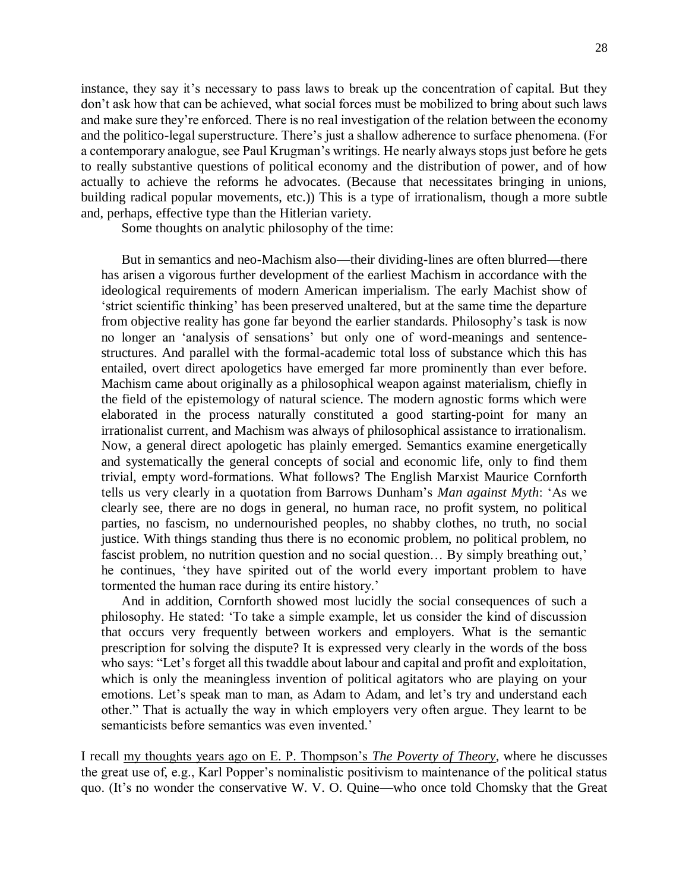instance, they say it's necessary to pass laws to break up the concentration of capital. But they don't ask how that can be achieved, what social forces must be mobilized to bring about such laws and make sure they're enforced. There is no real investigation of the relation between the economy and the politico-legal superstructure. There's just a shallow adherence to surface phenomena. (For a contemporary analogue, see Paul Krugman's writings. He nearly always stops just before he gets to really substantive questions of political economy and the distribution of power, and of how actually to achieve the reforms he advocates. (Because that necessitates bringing in unions, building radical popular movements, etc.)) This is a type of irrationalism, though a more subtle and, perhaps, effective type than the Hitlerian variety.

Some thoughts on analytic philosophy of the time:

But in semantics and neo-Machism also—their dividing-lines are often blurred—there has arisen a vigorous further development of the earliest Machism in accordance with the ideological requirements of modern American imperialism. The early Machist show of 'strict scientific thinking' has been preserved unaltered, but at the same time the departure from objective reality has gone far beyond the earlier standards. Philosophy's task is now no longer an 'analysis of sensations' but only one of word-meanings and sentencestructures. And parallel with the formal-academic total loss of substance which this has entailed, overt direct apologetics have emerged far more prominently than ever before. Machism came about originally as a philosophical weapon against materialism, chiefly in the field of the epistemology of natural science. The modern agnostic forms which were elaborated in the process naturally constituted a good starting-point for many an irrationalist current, and Machism was always of philosophical assistance to irrationalism. Now, a general direct apologetic has plainly emerged. Semantics examine energetically and systematically the general concepts of social and economic life, only to find them trivial, empty word-formations. What follows? The English Marxist Maurice Cornforth tells us very clearly in a quotation from Barrows Dunham's *Man against Myth*: 'As we clearly see, there are no dogs in general, no human race, no profit system, no political parties, no fascism, no undernourished peoples, no shabby clothes, no truth, no social justice. With things standing thus there is no economic problem, no political problem, no fascist problem, no nutrition question and no social question… By simply breathing out,' he continues, 'they have spirited out of the world every important problem to have tormented the human race during its entire history.'

And in addition, Cornforth showed most lucidly the social consequences of such a philosophy. He stated: 'To take a simple example, let us consider the kind of discussion that occurs very frequently between workers and employers. What is the semantic prescription for solving the dispute? It is expressed very clearly in the words of the boss who says: "Let's forget all this twaddle about labour and capital and profit and exploitation, which is only the meaningless invention of political agitators who are playing on your emotions. Let's speak man to man, as Adam to Adam, and let's try and understand each other." That is actually the way in which employers very often argue. They learnt to be semanticists before semantics was even invented.'

I recall [my thoughts years ago on E. P. Thompson's](https://www.wrightswriting.com/_files/ugd/9b146c_5af8b17e22b647c0a7027ad12baa0a0a.pdf?index=true) *The Poverty of Theory*, where he discusses the great use of, e.g., Karl Popper's nominalistic positivism to maintenance of the political status quo. (It's no wonder the conservative W. V. O. Quine—who once told Chomsky that the Great